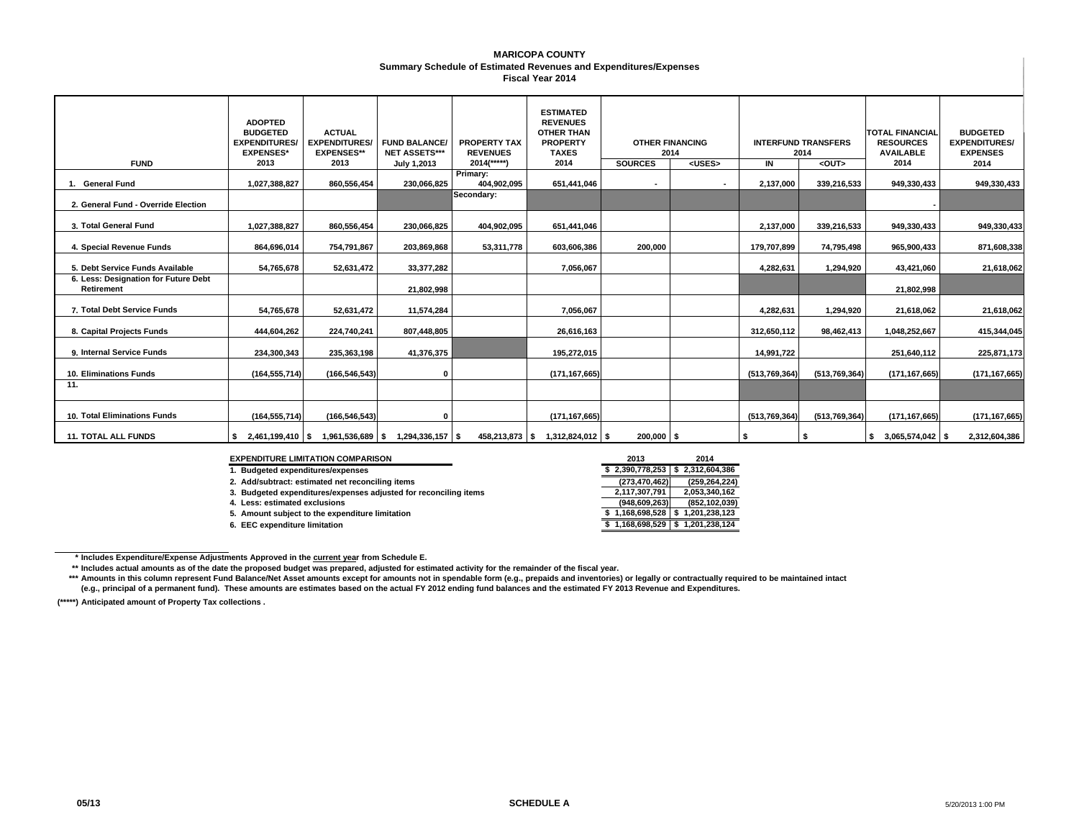#### **Summary Schedule of Estimated Revenues and Expenditures/Expenses MARICOPA COUNTYFiscal Year 2014**

|                                                    | <b>ADOPTED</b><br><b>BUDGETED</b><br><b>EXPENDITURES/</b><br><b>EXPENSES*</b> | <b>ACTUAL</b><br><b>EXPENDITURES</b><br><b>EXPENSES**</b> | <b>FUND BALANCE</b><br><b>NET ASSETS***</b> | <b>PROPERTY TAX</b><br><b>REVENUES</b> | <b>ESTIMATED</b><br><b>REVENUES</b><br><b>OTHER THAN</b><br><b>PROPERTY</b><br><b>TAXES</b> | <b>OTHER FINANCING</b><br>2014 |               |                 | <b>INTERFUND TRANSFERS</b><br>2014 | <b>TOTAL FINANCIAL</b><br><b>RESOURCES</b><br><b>AVAILABLE</b> | <b>BUDGETED</b><br><b>EXPENDITURES/</b><br><b>EXPENSES</b> |
|----------------------------------------------------|-------------------------------------------------------------------------------|-----------------------------------------------------------|---------------------------------------------|----------------------------------------|---------------------------------------------------------------------------------------------|--------------------------------|---------------|-----------------|------------------------------------|----------------------------------------------------------------|------------------------------------------------------------|
| <b>FUND</b>                                        | 2013                                                                          | 2013                                                      | July 1,2013                                 | $2014$ <sup>*****</sup> )              | 2014                                                                                        | <b>SOURCES</b>                 | <uses></uses> | IN              | <out></out>                        | 2014                                                           | 2014                                                       |
| 1. General Fund                                    | 1,027,388,827                                                                 | 860,556,454                                               | 230,066,825                                 | Primary:<br>404,902,095                | 651,441,046                                                                                 | $\sim$                         |               | 2,137,000       | 339,216,533                        | 949,330,433                                                    | 949,330,433                                                |
| 2. General Fund - Override Election                |                                                                               |                                                           |                                             | Secondary:                             |                                                                                             |                                |               |                 |                                    |                                                                |                                                            |
| 3. Total General Fund                              | 1,027,388,827                                                                 | 860,556,454                                               | 230,066,825                                 | 404,902,095                            | 651,441,046                                                                                 |                                |               | 2,137,000       | 339,216,533                        | 949,330,433                                                    | 949,330,433                                                |
| 4. Special Revenue Funds                           | 864,696,014                                                                   | 754,791,867                                               | 203,869,868                                 | 53,311,778                             | 603,606,386                                                                                 | 200,000                        |               | 179,707,899     | 74,795,498                         | 965,900,433                                                    | 871,608,338                                                |
| 5. Debt Service Funds Available                    | 54,765,678                                                                    | 52,631,472                                                | 33,377,282                                  |                                        | 7,056,067                                                                                   |                                |               | 4.282.631       | 1,294,920                          | 43,421,060                                                     | 21,618,062                                                 |
| 6. Less: Designation for Future Debt<br>Retirement |                                                                               |                                                           | 21,802,998                                  |                                        |                                                                                             |                                |               |                 |                                    | 21,802,998                                                     |                                                            |
| 7. Total Debt Service Funds                        | 54,765,678                                                                    | 52,631,472                                                | 11,574,284                                  |                                        | 7,056,067                                                                                   |                                |               | 4,282,631       | 1,294,920                          | 21,618,062                                                     | 21,618,062                                                 |
| 8. Capital Projects Funds                          | 444,604,262                                                                   | 224,740,241                                               | 807,448,805                                 |                                        | 26,616,163                                                                                  |                                |               | 312,650,112     | 98,462,413                         | 1,048,252,667                                                  | 415,344,045                                                |
| 9. Internal Service Funds                          | 234,300,343                                                                   | 235,363,198                                               | 41,376,375                                  |                                        | 195.272.015                                                                                 |                                |               | 14.991.722      |                                    | 251,640,112                                                    | 225,871,173                                                |
| 10. Eliminations Funds                             | (164, 555, 714)                                                               | (166, 546, 543)                                           | $\Omega$                                    |                                        | (171, 167, 665)                                                                             |                                |               | (513, 769, 364) | (513, 769, 364)                    | (171, 167, 665)                                                | (171, 167, 665)                                            |
| 11.                                                |                                                                               |                                                           |                                             |                                        |                                                                                             |                                |               |                 |                                    |                                                                |                                                            |
| 10. Total Eliminations Funds                       | (164, 555, 714)                                                               | (166, 546, 543)                                           |                                             |                                        | (171, 167, 665)                                                                             |                                |               | (513, 769, 364) | (513, 769, 364)                    | (171, 167, 665)                                                | (171, 167, 665)                                            |
| <b>11. TOTAL ALL FUNDS</b>                         | $$2,461,199,410$ \\$                                                          | 1,961,536,689 \$                                          | $1,294,336,157$ \$                          |                                        | 458,213,873 \$ 1,312,824,012 \$                                                             | $200,000$ \$                   |               | - \$            |                                    | $$3,065,574,042$ \$                                            | 2,312,604,386                                              |

**EXPENDITURE LIMITATION COMPARISON** 

**5. Amount subject to the expenditure limitation 6. EEC expenditure limitation** 

 **2013 2014 1. Budgeted expenditures/expenses \$ 2,312,604,386 2,390,778,253 \$**  2. Add/subtract: estimated net reconciling items<br>**2. Add/subtract: estimated net reconciling items**<br>**2.117,307,791** 2,053,340,162 3. Budgeted expenditures/expenses adjusted for reconciling items **2,117,307,791** 2,053,340,162<br>4. Less: estimated exclusions (948,609,263) (852,102,039) 4. Less: estimated exclusions (948,609,263) (852,102,039)<br>
5. Amount subject to the expenditure limitation (1999) (952,102,039) (952,102,039,528 (5 1,201,238,123 **6. EEC expenditure limitation \$ 1,201,238,124 1,168,698,529 \$** 

**\*\*Includes actual amounts as of the date the proposed budget was prepared, adjusted for estimated activity for the remainder of the fiscal year.**

**\*\*\*** Amounts in this column represent Fund Balance/Net Asset amounts except for amounts not in spendable form (e.g., prepaids and inventories) or legally or contractually required to be maintained intact **(e.g., principal of a permanent fund). These amounts are estimates based on the actual FY 2012 ending fund balances and the estimated FY 2013 Revenue and Expenditures.**

**(\*\*\*\*\*) Anticipated amount of Property Tax collections .**

**<sup>\*</sup> Includes Expenditure/Expense Adjustments Approved in the current year from Schedule E.**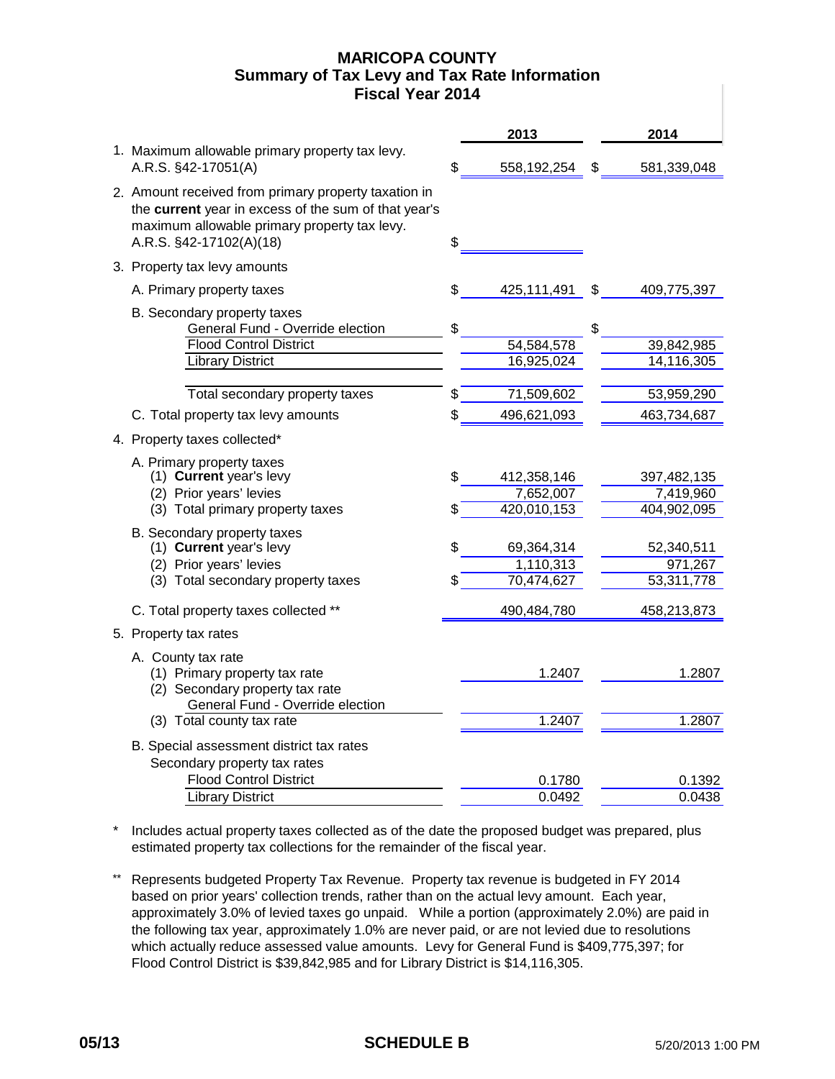# **MARICOPA COUNTY Fiscal Year 2014 Summary of Tax Levy and Tax Rate Information**

|                                                                                                                                                                                         | 2013                           |    | 2014                     |
|-----------------------------------------------------------------------------------------------------------------------------------------------------------------------------------------|--------------------------------|----|--------------------------|
| 1. Maximum allowable primary property tax levy.<br>A.R.S. §42-17051(A)                                                                                                                  | \$<br>558,192,254              | S  | 581,339,048              |
| 2. Amount received from primary property taxation in<br>the current year in excess of the sum of that year's<br>maximum allowable primary property tax levy.<br>A.R.S. §42-17102(A)(18) | \$                             |    |                          |
| 3. Property tax levy amounts                                                                                                                                                            |                                |    |                          |
| A. Primary property taxes                                                                                                                                                               | \$<br>425,111,491              | \$ | 409,775,397              |
| B. Secondary property taxes<br>General Fund - Override election<br><b>Flood Control District</b><br><b>Library District</b>                                                             | \$<br>54,584,578<br>16,925,024 | \$ | 39,842,985<br>14,116,305 |
| Total secondary property taxes                                                                                                                                                          | \$<br>71,509,602               |    | 53,959,290               |
| C. Total property tax levy amounts                                                                                                                                                      | \$<br>496,621,093              |    | 463,734,687              |
|                                                                                                                                                                                         |                                |    |                          |
| 4. Property taxes collected*                                                                                                                                                            |                                |    |                          |
| A. Primary property taxes<br>(1) Current year's levy                                                                                                                                    | \$<br>412,358,146              |    | 397,482,135              |
| (2) Prior years' levies                                                                                                                                                                 | 7,652,007                      |    | 7,419,960                |
| (3) Total primary property taxes                                                                                                                                                        | 420,010,153                    |    | 404,902,095              |
| B. Secondary property taxes<br>(1) Current year's levy<br>(2) Prior years' levies                                                                                                       | \$<br>69,364,314<br>1,110,313  |    | 52,340,511<br>971,267    |
| (3) Total secondary property taxes                                                                                                                                                      | \$<br>70,474,627               |    | 53,311,778               |
| C. Total property taxes collected **                                                                                                                                                    | 490,484,780                    |    | 458,213,873              |
| 5. Property tax rates                                                                                                                                                                   |                                |    |                          |
| A. County tax rate<br>(1) Primary property tax rate<br>(2) Secondary property tax rate                                                                                                  | 1.2407                         |    | 1.2807                   |
| General Fund - Override election<br>(3) Total county tax rate                                                                                                                           | 1.2407                         |    | 1.2807                   |
| B. Special assessment district tax rates<br>Secondary property tax rates                                                                                                                |                                |    |                          |
| <b>Flood Control District</b>                                                                                                                                                           | 0.1780                         |    | 0.1392                   |
| <b>Library District</b>                                                                                                                                                                 | 0.0492                         |    | 0.0438                   |

\* Includes actual property taxes collected as of the date the proposed budget was prepared, plus estimated property tax collections for the remainder of the fiscal year.

\*\* Represents budgeted Property Tax Revenue. Property tax revenue is budgeted in FY 2014 based on prior years' collection trends, rather than on the actual levy amount. Each year, approximately 3.0% of levied taxes go unpaid. While a portion (approximately 2.0%) are paid in the following tax year, approximately 1.0% are never paid, or are not levied due to resolutions which actually reduce assessed value amounts. Levy for General Fund is \$409,775,397; for Flood Control District is \$39,842,985 and for Library District is \$14,116,305.

# **05/13** SCHEDULE B 5/20/2013 1:00 PM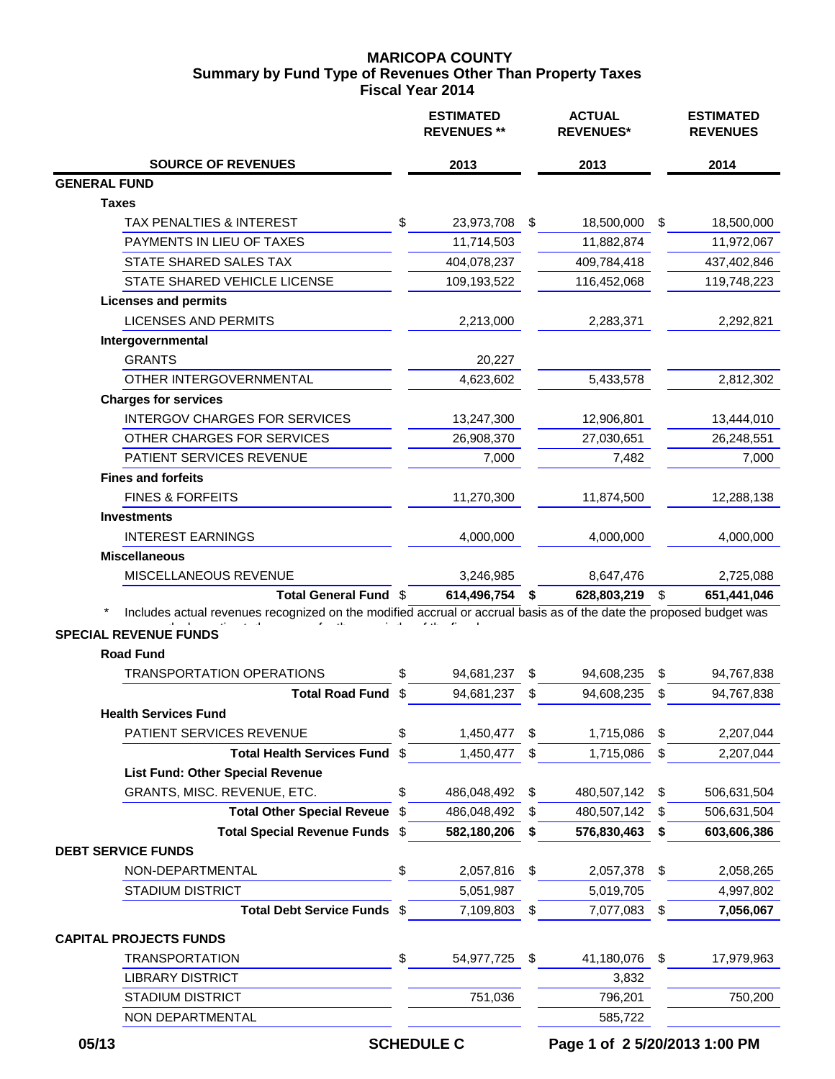# **MARICOPA COUNTY Fiscal Year 2014 Summary by Fund Type of Revenues Other Than Property Taxes**

|                                                                                                                     | <b>ESTIMATED</b><br><b>REVENUES **</b> | <b>ACTUAL</b><br><b>REVENUES*</b> |    | <b>ESTIMATED</b><br><b>REVENUES</b> |
|---------------------------------------------------------------------------------------------------------------------|----------------------------------------|-----------------------------------|----|-------------------------------------|
| <b>SOURCE OF REVENUES</b>                                                                                           | 2013                                   | 2013                              |    | 2014                                |
| <b>GENERAL FUND</b>                                                                                                 |                                        |                                   |    |                                     |
| <b>Taxes</b>                                                                                                        |                                        |                                   |    |                                     |
| TAX PENALTIES & INTEREST                                                                                            | \$<br>23,973,708                       | \$<br>18,500,000                  | \$ | 18,500,000                          |
| PAYMENTS IN LIEU OF TAXES                                                                                           | 11,714,503                             | 11,882,874                        |    | 11,972,067                          |
| STATE SHARED SALES TAX                                                                                              | 404,078,237                            | 409,784,418                       |    | 437,402,846                         |
| STATE SHARED VEHICLE LICENSE                                                                                        | 109,193,522                            | 116,452,068                       |    | 119,748,223                         |
| <b>Licenses and permits</b>                                                                                         |                                        |                                   |    |                                     |
| <b>LICENSES AND PERMITS</b>                                                                                         | 2,213,000                              | 2,283,371                         |    | 2,292,821                           |
| Intergovernmental                                                                                                   |                                        |                                   |    |                                     |
| <b>GRANTS</b>                                                                                                       | 20,227                                 |                                   |    |                                     |
| OTHER INTERGOVERNMENTAL                                                                                             | 4,623,602                              | 5,433,578                         |    | 2,812,302                           |
| <b>Charges for services</b>                                                                                         |                                        |                                   |    |                                     |
| <b>INTERGOV CHARGES FOR SERVICES</b>                                                                                | 13,247,300                             | 12,906,801                        |    | 13,444,010                          |
| OTHER CHARGES FOR SERVICES                                                                                          | 26,908,370                             | 27,030,651                        |    | 26,248,551                          |
| PATIENT SERVICES REVENUE                                                                                            | 7,000                                  | 7,482                             |    | 7,000                               |
| <b>Fines and forfeits</b>                                                                                           |                                        |                                   |    |                                     |
| <b>FINES &amp; FORFEITS</b>                                                                                         | 11,270,300                             | 11,874,500                        |    | 12,288,138                          |
| <b>Investments</b>                                                                                                  |                                        |                                   |    |                                     |
| <b>INTEREST EARNINGS</b>                                                                                            | 4,000,000                              | 4,000,000                         |    | 4,000,000                           |
| <b>Miscellaneous</b>                                                                                                |                                        |                                   |    |                                     |
| MISCELLANEOUS REVENUE                                                                                               | 3,246,985                              | 8,647,476                         |    | 2,725,088                           |
| Total General Fund \$                                                                                               | 614,496,754                            | \$<br>628,803,219                 | \$ | 651,441,046                         |
| Includes actual revenues recognized on the modified accrual or accrual basis as of the date the proposed budget was |                                        |                                   |    |                                     |
| <b>SPECIAL REVENUE FUNDS</b>                                                                                        |                                        |                                   |    |                                     |
| <b>Road Fund</b>                                                                                                    |                                        |                                   |    |                                     |
| <b>TRANSPORTATION OPERATIONS</b>                                                                                    | \$<br>94,681,237                       | \$<br>94,608,235                  | \$ | 94,767,838                          |
| <b>Total Road Fund</b>                                                                                              | \$<br>94,681,237                       | \$<br>94,608,235                  | S  | 94,767,838                          |
| <b>Health Services Fund</b>                                                                                         |                                        |                                   |    |                                     |
| PATIENT SERVICES REVENUE                                                                                            | \$<br>1,450,477                        | \$<br>1,715,086                   | \$ | 2,207,044                           |
| <b>Total Health Services Fund</b>                                                                                   | \$<br>1,450,477                        | \$<br>1,715,086                   | \$ | 2,207,044                           |
| <b>List Fund: Other Special Revenue</b>                                                                             |                                        |                                   |    |                                     |
| GRANTS, MISC. REVENUE, ETC.                                                                                         | \$<br>486,048,492                      | \$<br>480,507,142                 | \$ | 506,631,504                         |
| <b>Total Other Special Reveue</b>                                                                                   | \$<br>486,048,492                      | \$<br>480,507,142                 | S  | 506,631,504                         |
| Total Special Revenue Funds \$                                                                                      | 582,180,206                            | \$<br>576,830,463                 | \$ | 603,606,386                         |
| <b>DEBT SERVICE FUNDS</b>                                                                                           |                                        |                                   |    |                                     |
| NON-DEPARTMENTAL                                                                                                    | \$<br>2,057,816                        | \$<br>2,057,378                   | \$ | 2,058,265                           |
| <b>STADIUM DISTRICT</b>                                                                                             | 5,051,987                              | 5,019,705                         |    | 4,997,802                           |
| Total Debt Service Funds \$                                                                                         | 7,109,803                              | \$<br>7,077,083                   | \$ | 7,056,067                           |
| <b>CAPITAL PROJECTS FUNDS</b>                                                                                       |                                        |                                   |    |                                     |
| <b>TRANSPORTATION</b>                                                                                               | \$<br>54,977,725                       | \$<br>41,180,076                  | \$ | 17,979,963                          |
| <b>LIBRARY DISTRICT</b>                                                                                             |                                        | 3,832                             |    |                                     |
| <b>STADIUM DISTRICT</b>                                                                                             | 751,036                                | 796,201                           |    | 750,200                             |
| NON DEPARTMENTAL                                                                                                    |                                        | 585,722                           |    |                                     |

 **05/13 SCHEDULE C Page 1 of 2 5/20/2013 1:00 PM**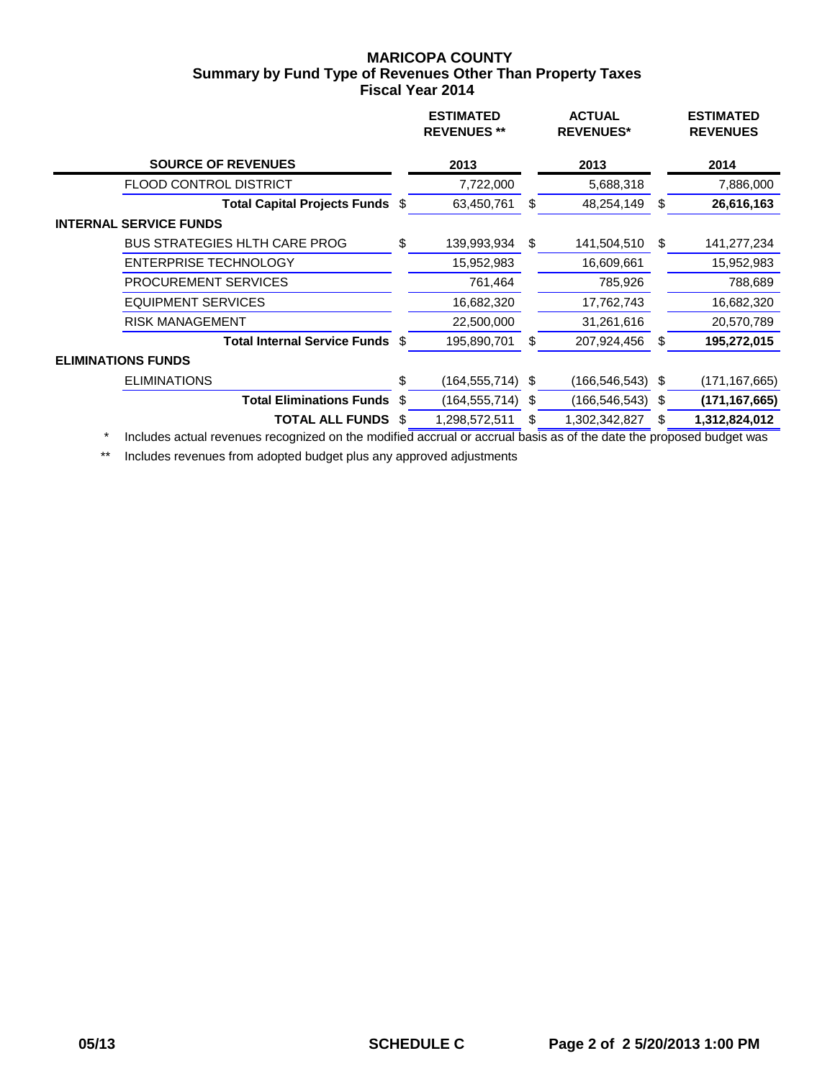## **MARICOPA COUNTY Fiscal Year 2014 Summary by Fund Type of Revenues Other Than Property Taxes**

|                                        | <b>ESTIMATED</b><br><b>REVENUES</b> ** |      | <b>ACTUAL</b><br><b>REVENUES*</b> |   | <b>ESTIMATED</b><br><b>REVENUES</b>          |
|----------------------------------------|----------------------------------------|------|-----------------------------------|---|----------------------------------------------|
|                                        | 2013                                   |      | 2013                              |   | 2014                                         |
|                                        | 7,722,000                              |      | 5,688,318                         |   | 7,886,000                                    |
| Total Capital Projects Funds \$        | 63,450,761                             | \$   | 48,254,149                        | S | 26,616,163                                   |
|                                        |                                        |      |                                   |   |                                              |
| \$                                     | 139,993,934                            | \$   | 141,504,510                       | S | 141,277,234                                  |
|                                        | 15,952,983                             |      | 16,609,661                        |   | 15,952,983                                   |
|                                        | 761,464                                |      | 785,926                           |   | 788,689                                      |
|                                        | 16,682,320                             |      | 17,762,743                        |   | 16,682,320                                   |
|                                        | 22,500,000                             |      | 31,261,616                        |   | 20,570,789                                   |
| Total Internal Service Funds \$        | 195,890,701                            | S    | 207,924,456                       | S | 195,272,015                                  |
|                                        |                                        |      |                                   |   |                                              |
| \$                                     |                                        | \$   |                                   |   | (171,167,665)                                |
| <b>Total Eliminations Funds</b><br>-\$ |                                        | - \$ |                                   |   | (171, 167, 665)                              |
| S                                      | 1,298,572,511                          | S    | 1,302,342,827                     | S | 1,312,824,012                                |
|                                        |                                        |      | (164,555,714)<br>(164, 555, 714)  |   | $(166, 546, 543)$ \$<br>$(166, 546, 543)$ \$ |

\* Includes actual revenues recognized on the modified accrual or accrual basis as of the date the proposed budget was

\*\* Includes revenues from adopted budget plus any approved adjustments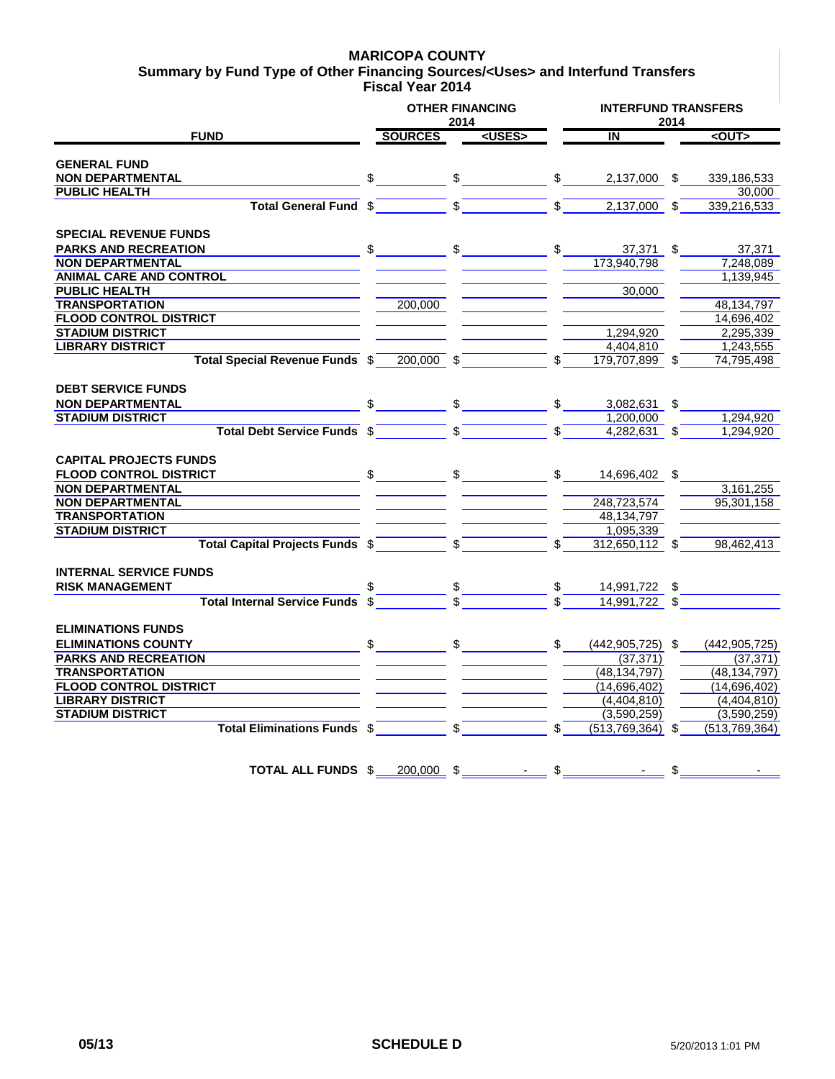### **MARICOPA COUNTY**

**Fiscal Year 2014 Summary by Fund Type of Other Financing Sources/<Uses> and Interfund Transfers**

|                                        | <b>OTHER FINANCING</b> | 2014          |               |               | <b>INTERFUND TRANSFERS</b><br>2014 |    |                 |  |
|----------------------------------------|------------------------|---------------|---------------|---------------|------------------------------------|----|-----------------|--|
| <b>FUND</b>                            | <b>SOURCES</b>         |               | <uses></uses> |               | $\overline{\mathsf{N}}$            |    | $2$             |  |
| <b>GENERAL FUND</b>                    |                        |               |               |               |                                    |    |                 |  |
| <b>NON DEPARTMENTAL</b>                | \$                     | $\frac{1}{2}$ |               | $\frac{1}{2}$ | 2,137,000 \$                       |    | 339,186,533     |  |
| <b>PUBLIC HEALTH</b>                   |                        |               |               |               |                                    |    | 30,000          |  |
| <b>Total General Fund</b>              | \$                     |               |               |               | 2,137,000                          | \$ | 339,216,533     |  |
| <b>SPECIAL REVENUE FUNDS</b>           |                        |               |               |               |                                    |    |                 |  |
| <b>PARKS AND RECREATION</b>            | \$                     | \$            |               | \$            | 37,371 \$                          |    | 37,371          |  |
| <b>NON DEPARTMENTAL</b>                |                        |               |               |               | 173,940,798                        |    | 7,248,089       |  |
| <b>ANIMAL CARE AND CONTROL</b>         |                        |               |               |               |                                    |    | 1,139,945       |  |
| <b>PUBLIC HEALTH</b>                   |                        |               |               |               | 30.000                             |    |                 |  |
| <b>TRANSPORTATION</b>                  | 200,000                |               |               |               |                                    |    | 48, 134, 797    |  |
| <b>FLOOD CONTROL DISTRICT</b>          |                        |               |               |               |                                    |    | 14,696,402      |  |
| <b>STADIUM DISTRICT</b>                |                        |               |               |               | 1,294,920                          |    | 2,295,339       |  |
| <b>LIBRARY DISTRICT</b>                |                        |               |               |               | 4.404.810                          |    | 1,243,555       |  |
| Total Special Revenue Funds \$         | 200.000 \$             |               |               | \$            | 179.707.899 \$                     |    | 74,795,498      |  |
|                                        |                        |               |               |               |                                    |    |                 |  |
| <b>DEBT SERVICE FUNDS</b>              |                        |               |               |               |                                    |    |                 |  |
| <b>NON DEPARTMENTAL</b>                |                        | \$            |               | \$            | 3,082,631                          | \$ |                 |  |
| <b>STADIUM DISTRICT</b>                |                        |               |               |               | 1,200,000                          |    | 1.294.920       |  |
| <b>Total Debt Service Funds \$</b>     |                        | \$            |               | \$            | $4,282,631$ \$                     |    | 1.294.920       |  |
|                                        |                        |               |               |               |                                    |    |                 |  |
| <b>CAPITAL PROJECTS FUNDS</b>          |                        |               |               |               |                                    |    |                 |  |
| <b>FLOOD CONTROL DISTRICT</b>          | \$                     | $\frac{1}{2}$ |               | \$            | 14,696,402 \$                      |    |                 |  |
| <b>NON DEPARTMENTAL</b>                |                        |               |               |               |                                    |    | 3,161,255       |  |
| <b>NON DEPARTMENTAL</b>                |                        |               |               |               | 248,723,574                        |    | 95.301.158      |  |
| <b>TRANSPORTATION</b>                  |                        |               |               |               | 48,134,797                         |    |                 |  |
| <b>STADIUM DISTRICT</b>                |                        |               |               |               | 1,095,339                          |    |                 |  |
| <b>Total Capital Projects Funds \$</b> |                        | \$            |               |               | 312,650,112 \$                     |    | 98,462,413      |  |
| <b>INTERNAL SERVICE FUNDS</b>          |                        |               |               |               |                                    |    |                 |  |
| <b>RISK MANAGEMENT</b>                 |                        |               |               |               | 14,991,722 \$                      |    |                 |  |
| <b>Total Internal Service Funds</b>    |                        |               |               |               | 14,991,722 \$                      |    |                 |  |
| <b>ELIMINATIONS FUNDS</b>              |                        |               |               |               |                                    |    |                 |  |
| <b>ELIMINATIONS COUNTY</b>             | \$                     | \$            |               | \$            | $(442, 905, 725)$ \$               |    | (442, 905, 725) |  |
| <b>PARKS AND RECREATION</b>            |                        |               |               |               | (37, 371)                          |    | (37, 371)       |  |
| <b>TRANSPORTATION</b>                  |                        |               |               |               | (48, 134, 797)                     |    | (48, 134, 797)  |  |
| <b>FLOOD CONTROL DISTRICT</b>          |                        |               |               |               | (14,696,402)                       |    | (14,696,402)    |  |
| <b>LIBRARY DISTRICT</b>                |                        |               |               |               | (4,404,810)                        |    | (4,404,810)     |  |
| <b>STADIUM DISTRICT</b>                |                        |               |               |               | (3,590,259)                        |    | (3,590,259)     |  |
| Total Eliminations Funds \$            |                        | \$            |               | \$            | (513, 769, 364)                    | \$ | (513, 769, 364) |  |
|                                        |                        |               |               |               |                                    |    |                 |  |
|                                        |                        |               |               |               |                                    |    |                 |  |
| <b>TOTAL ALL FUNDS \$</b>              | 200.000                | \$            |               | \$            |                                    | \$ |                 |  |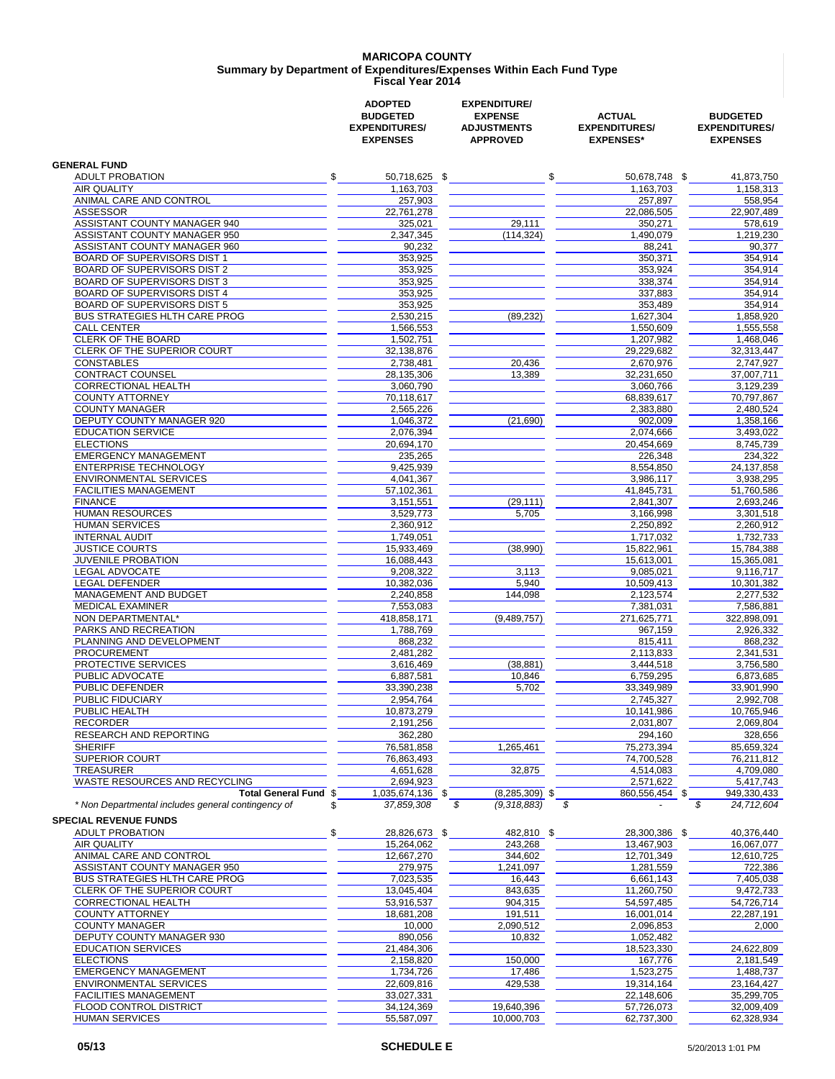#### **MARICOPA COUNTY Fiscal Year 2014 Summary by Department of Expenditures/Expenses Within Each Fund Type**

|                                                                                    | <b>ADOPTED</b><br><b>BUDGETED</b><br><b>EXPENDITURES/</b><br><b>EXPENSES</b> | <b>EXPENDITURE/</b><br><b>EXPENSE</b><br><b>ADJUSTMENTS</b><br><b>APPROVED</b> | <b>ACTUAL</b><br><b>EXPENDITURES/</b><br><b>EXPENSES*</b> | <b>BUDGETED</b><br><b>EXPENDITURES/</b><br><b>EXPENSES</b> |
|------------------------------------------------------------------------------------|------------------------------------------------------------------------------|--------------------------------------------------------------------------------|-----------------------------------------------------------|------------------------------------------------------------|
| <b>GENERAL FUND</b>                                                                |                                                                              |                                                                                |                                                           |                                                            |
| <b>ADULT PROBATION</b>                                                             | \$<br>50,718,625 \$                                                          | \$                                                                             | 50,678,748 \$                                             | 41,873,750                                                 |
| <b>AIR OUALITY</b>                                                                 | 1,163,703                                                                    |                                                                                | 1,163,703                                                 | 1,158,313                                                  |
| ANIMAL CARE AND CONTROL                                                            | 257,903                                                                      |                                                                                | 257,897                                                   | 558,954                                                    |
| <b>ASSESSOR</b>                                                                    | 22,761,278                                                                   |                                                                                | 22,086,505                                                | 22,907,489                                                 |
| ASSISTANT COUNTY MANAGER 940<br>ASSISTANT COUNTY MANAGER 950                       | 325,021<br>2,347,345                                                         | 29,111<br>(114, 324)                                                           | 350,271<br>1,490,079                                      | 578,619<br>1,219,230                                       |
| ASSISTANT COUNTY MANAGER 960                                                       | 90,232                                                                       |                                                                                | 88,241                                                    | 90,377                                                     |
| BOARD OF SUPERVISORS DIST 1                                                        | 353,925                                                                      |                                                                                | 350,371                                                   | 354,914                                                    |
| <b>BOARD OF SUPERVISORS DIST 2</b>                                                 | 353,925                                                                      |                                                                                | 353,924                                                   | 354,914                                                    |
| BOARD OF SUPERVISORS DIST 3                                                        | 353,925                                                                      |                                                                                | 338,374                                                   | 354,914                                                    |
| <b>BOARD OF SUPERVISORS DIST 4</b>                                                 | 353,925                                                                      |                                                                                | 337,883                                                   | 354,914                                                    |
| <b>BOARD OF SUPERVISORS DIST 5</b><br><b>BUS STRATEGIES HLTH CARE PROG</b>         | 353,925<br>2,530,215                                                         | (89, 232)                                                                      | 353,489<br>1,627,304                                      | 354,914<br>1,858,920                                       |
| <b>CALL CENTER</b>                                                                 | 1,566,553                                                                    |                                                                                | 1,550,609                                                 | 1,555,558                                                  |
| <b>CLERK OF THE BOARD</b>                                                          | 1,502,751                                                                    |                                                                                | 1,207,982                                                 | 1,468,046                                                  |
| CLERK OF THE SUPERIOR COURT                                                        | 32,138,876                                                                   |                                                                                | 29,229,682                                                | 32,313,447                                                 |
| <b>CONSTABLES</b>                                                                  | 2,738,481                                                                    | 20,436                                                                         | 2,670,976                                                 | 2,747,927                                                  |
| CONTRACT COUNSEL                                                                   | 28,135,306                                                                   | 13,389                                                                         | 32,231,650                                                | 37,007,711                                                 |
| CORRECTIONAL HEALTH<br><b>COUNTY ATTORNEY</b>                                      | 3,060,790<br>70,118,617                                                      |                                                                                | 3,060,766<br>68,839,617                                   | 3,129,239<br>70,797,867                                    |
| <b>COUNTY MANAGER</b>                                                              | 2,565,226                                                                    |                                                                                | 2,383,880                                                 | 2,480,524                                                  |
| DEPUTY COUNTY MANAGER 920                                                          | 1,046,372                                                                    | (21,690)                                                                       | 902,009                                                   | 1,358,166                                                  |
| <b>EDUCATION SERVICE</b>                                                           | 2,076,394                                                                    |                                                                                | 2,074,666                                                 | 3,493,022                                                  |
| <b>ELECTIONS</b>                                                                   | 20,694,170                                                                   |                                                                                | 20,454,669                                                | 8,745,739                                                  |
| <b>EMERGENCY MANAGEMENT</b>                                                        | 235,265                                                                      |                                                                                | 226,348                                                   | 234,322                                                    |
| <b>ENTERPRISE TECHNOLOGY</b>                                                       | 9,425,939                                                                    |                                                                                | 8,554,850                                                 | 24,137,858                                                 |
| <b>ENVIRONMENTAL SERVICES</b><br><b>FACILITIES MANAGEMENT</b>                      | 4,041,367<br>57,102,361                                                      |                                                                                | 3.986.117<br>41,845,731                                   | 3,938,295<br>51,760,586                                    |
| <b>FINANCE</b>                                                                     | 3,151,551                                                                    | (29, 111)                                                                      | 2,841,307                                                 | 2,693,246                                                  |
| <b>HUMAN RESOURCES</b>                                                             | 3,529,773                                                                    | 5,705                                                                          | 3,166,998                                                 | 3,301,518                                                  |
| HUMAN SERVICES                                                                     | 2,360,912                                                                    |                                                                                | 2,250,892                                                 | 2,260,912                                                  |
| INTERNAL AUDIT                                                                     | 1,749,051                                                                    |                                                                                | 1,717,032                                                 | 1,732,733                                                  |
| <b>JUSTICE COURTS</b>                                                              | 15,933,469                                                                   | (38,990)                                                                       | 15,822,961                                                | 15,784,388                                                 |
| JUVENILE PROBATION                                                                 | 16,088,443                                                                   |                                                                                | 15,613,001                                                | 15,365,081                                                 |
| LEGAL ADVOCATE<br><b>LEGAL DEFENDER</b>                                            | 9,208,322<br>10,382,036                                                      | 3,113<br>5,940                                                                 | 9,085,021<br>10,509,413                                   | 9,116,717<br>10,301,382                                    |
| MANAGEMENT AND BUDGET                                                              | 2,240,858                                                                    | 144,098                                                                        | 2,123,574                                                 | 2,277,532                                                  |
| <b>MEDICAL EXAMINER</b>                                                            | 7,553,083                                                                    |                                                                                | 7,381,031                                                 | 7,586,881                                                  |
| NON DEPARTMENTAL*                                                                  | 418,858,171                                                                  | (9,489,757)                                                                    | 271,625,771                                               | 322,898,091                                                |
| PARKS AND RECREATION                                                               | 1.788.769                                                                    |                                                                                | 967,159                                                   | 2,926,332                                                  |
| PLANNING AND DEVELOPMENT                                                           | 868,232                                                                      |                                                                                | 815,411                                                   | 868,232                                                    |
| <b>PROCUREMENT</b><br>PROTECTIVE SERVICES                                          | 2,481,282<br>3,616,469                                                       | (38, 881)                                                                      | 2,113,833<br>3,444,518                                    | 2,341,531<br>3,756,580                                     |
| PUBLIC ADVOCATE                                                                    | 6,887,581                                                                    | 10,846                                                                         | 6,759,295                                                 | 6,873,685                                                  |
| PUBLIC DEFENDER                                                                    | 33,390,238                                                                   | 5,702                                                                          | 33.349.989                                                | 33,901,990                                                 |
| PUBLIC FIDUCIARY                                                                   | 2,954,764                                                                    |                                                                                | 2,745,327                                                 | 2,992,708                                                  |
| PUBLIC HEALTH                                                                      | 10,873,279                                                                   |                                                                                | 10,141,986                                                | 10,765,946                                                 |
| <b>RECORDER</b>                                                                    | 2,191,256                                                                    |                                                                                | 2,031,807                                                 | 2,069,804                                                  |
| RESEARCH AND REPORTING<br><b>SHERIFF</b>                                           | 362,280<br>76,581,858                                                        | 1,265,461                                                                      | 294,160<br>75,273,394                                     | 328,656<br>85,659,324                                      |
| <b>SUPERIOR COURT</b>                                                              | 76,863,493                                                                   |                                                                                | 74,700,528                                                | 76,211,812                                                 |
| TREASURER                                                                          | 4,651,628                                                                    | 32,875                                                                         | 4,514,083                                                 | 4,709,080                                                  |
| WASTE RESOURCES AND RECYCLING                                                      | 2,694,923                                                                    |                                                                                | 2,571,622                                                 | 5,417,743                                                  |
| Total General Fund \$                                                              | 1,035,674,136 \$                                                             | $(8,285,309)$ \$                                                               | 860,556,454 \$                                            | 949,330,433                                                |
| * Non Departmental includes general contingency of<br><b>SPECIAL REVENUE FUNDS</b> | 37,859,308<br>\$                                                             | \$<br>(9,318,883)                                                              | \$                                                        | \$<br>24,712,604                                           |
| \$<br><b>ADULT PROBATION</b>                                                       | 28,826,673 \$                                                                | 482,810 \$                                                                     | 28,300,386 \$                                             | 40,376,440                                                 |
| AIR QUALITY                                                                        | 15,264,062                                                                   | 243,268                                                                        | 13,467,903                                                | 16,067,077                                                 |
| ANIMAL CARE AND CONTROL                                                            | 12,667,270                                                                   | 344,602                                                                        | 12,701,349                                                | 12,610,725                                                 |
| ASSISTANT COUNTY MANAGER 950                                                       | 279,975                                                                      | 1,241,097                                                                      | 1,281,559                                                 | 722,386                                                    |
| <b>BUS STRATEGIES HLTH CARE PROG</b>                                               | 7.023.535                                                                    | 16,443                                                                         | 6,661,143                                                 | 7,405,038                                                  |
| CLERK OF THE SUPERIOR COURT                                                        | 13,045,404                                                                   | 843,635                                                                        | 11,260,750                                                | 9,472,733                                                  |
| CORRECTIONAL HEALTH<br><b>COUNTY ATTORNEY</b>                                      | 53,916,537<br>18,681,208                                                     | 904,315<br>191,511                                                             | 54,597,485<br>16,001,014                                  | 54,726,714<br>22,287,191                                   |
| <b>COUNTY MANAGER</b>                                                              | 10,000                                                                       | 2,090,512                                                                      | 2,096,853                                                 | 2,000                                                      |
| DEPUTY COUNTY MANAGER 930                                                          | 890,056                                                                      | 10,832                                                                         | 1,052,482                                                 |                                                            |
| <b>EDUCATION SERVICES</b>                                                          | 21,484,306                                                                   |                                                                                | 18,523,330                                                | 24,622,809                                                 |
| <b>ELECTIONS</b>                                                                   | 2,158,820                                                                    | 150,000                                                                        | 167,776                                                   | 2,181,549                                                  |
| <b>EMERGENCY MANAGEMENT</b>                                                        | 1,734,726                                                                    | 17,486                                                                         | 1,523,275                                                 | 1,488,737                                                  |
| ENVIRONMENTAL SERVICES                                                             | 22,609,816                                                                   | 429,538                                                                        | 19,314,164                                                | 23,164,427                                                 |
| <b>FACILITIES MANAGEMENT</b><br>FLOOD CONTROL DISTRICT                             | 33,027,331<br>34,124,369                                                     | 19,640,396                                                                     | 22,148,606<br>57,726,073                                  | 35,299,705<br>32,009,409                                   |
| <b>HUMAN SERVICES</b>                                                              | 55,587,097                                                                   | 10,000,703                                                                     | 62,737,300                                                | 62,328,934                                                 |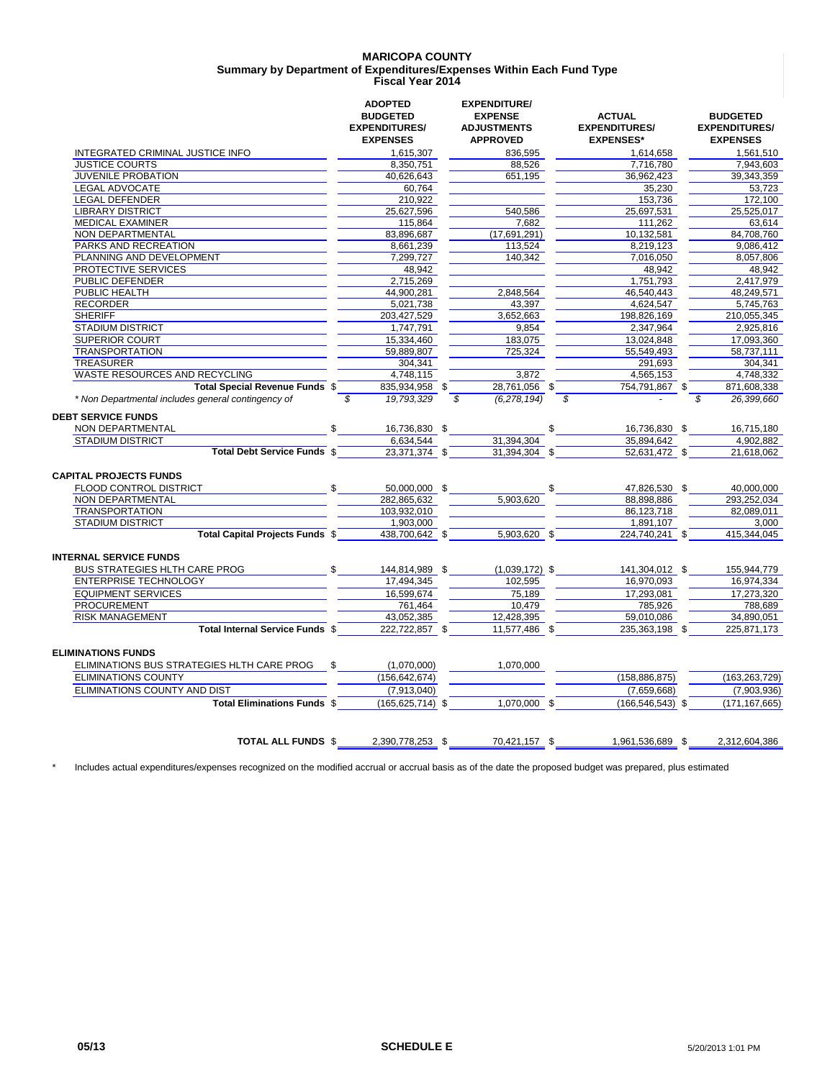#### **MARICOPA COUNTY Fiscal Year 2014 Summary by Department of Expenditures/Expenses Within Each Fund Type**

|                                                                                      | <b>ADOPTED</b><br><b>BUDGETED</b><br><b>EXPENDITURES/</b><br><b>EXPENSES</b> | <b>EXPENDITURE/</b><br><b>EXPENSE</b><br><b>ADJUSTMENTS</b><br><b>APPROVED</b> | <b>ACTUAL</b><br><b>EXPENDITURES/</b><br><b>EXPENSES*</b> | <b>BUDGETED</b><br><b>EXPENDITURES/</b><br><b>EXPENSES</b> |
|--------------------------------------------------------------------------------------|------------------------------------------------------------------------------|--------------------------------------------------------------------------------|-----------------------------------------------------------|------------------------------------------------------------|
| INTEGRATED CRIMINAL JUSTICE INFO                                                     | 1.615.307                                                                    | 836.595                                                                        | 1.614.658                                                 | 1.561.510                                                  |
| <b>JUSTICE COURTS</b>                                                                | 8,350,751                                                                    | 88,526                                                                         | 7,716,780                                                 | 7,943,603                                                  |
| JUVENILE PROBATION                                                                   | 40,626,643                                                                   | 651,195                                                                        | 36,962,423                                                | 39,343,359                                                 |
| LEGAL ADVOCATE                                                                       | 60,764                                                                       |                                                                                | 35,230                                                    | 53,723                                                     |
| <b>LEGAL DEFENDER</b>                                                                | 210,922                                                                      |                                                                                | 153,736                                                   | 172,100                                                    |
| <b>LIBRARY DISTRICT</b>                                                              | 25,627,596                                                                   | 540,586                                                                        | 25,697,531                                                | 25,525,017                                                 |
| <b>MEDICAL EXAMINER</b>                                                              | 115,864                                                                      | 7,682                                                                          | 111,262                                                   | 63,614                                                     |
| <b>NON DEPARTMENTAL</b>                                                              | 83,896,687                                                                   | (17,691,291)                                                                   | 10,132,581                                                | 84.708.760                                                 |
| PARKS AND RECREATION                                                                 | 8,661,239                                                                    | 113,524                                                                        | 8,219,123                                                 | 9,086,412                                                  |
| PLANNING AND DEVELOPMENT                                                             | 7,299,727                                                                    | 140,342                                                                        | 7,016,050                                                 | 8,057,806                                                  |
| PROTECTIVE SERVICES                                                                  | 48,942                                                                       |                                                                                | 48.942                                                    | 48.942                                                     |
| PUBLIC DEFENDER                                                                      | 2,715,269                                                                    |                                                                                | 1,751,793                                                 | 2,417,979                                                  |
| PUBLIC HEALTH<br><b>RECORDER</b>                                                     | 44,900,281                                                                   | 2,848,564                                                                      | 46,540,443                                                | 48,249,571                                                 |
|                                                                                      | 5.021.738                                                                    | 43.397                                                                         | 4.624.547                                                 | 5.745.763                                                  |
| <b>SHERIFF</b>                                                                       | 203,427,529                                                                  | 3,652,663                                                                      | 198,826,169                                               | 210,055,345                                                |
| <b>STADIUM DISTRICT</b>                                                              | 1.747.791                                                                    | 9,854                                                                          | 2,347,964                                                 | 2,925,816                                                  |
| <b>SUPERIOR COURT</b>                                                                | 15,334,460                                                                   | 183,075                                                                        | 13,024,848                                                | 17,093,360                                                 |
| <b>TRANSPORTATION</b>                                                                | 59,889,807                                                                   | 725,324                                                                        | 55,549,493                                                | 58.737.111                                                 |
| <b>TREASURER</b>                                                                     | 304.341                                                                      |                                                                                | 291,693                                                   | 304.341                                                    |
| WASTE RESOURCES AND RECYCLING                                                        | 4,748,115                                                                    | 3,872                                                                          | 4,565,153                                                 | 4,748,332                                                  |
| Total Special Revenue Funds \$<br>* Non Departmental includes general contingency of | 835,934,958 \$<br>\$<br>19,793,329                                           | 28,761,056 \$<br>\$<br>(6.278, 194)                                            | 754,791,867 \$<br>\$                                      | 871,608,338<br>26,399,660<br>\$                            |
| NON DEPARTMENTAL<br><b>STADIUM DISTRICT</b><br><b>Total Debt Service Funds \$</b>    | 16,736,830 \$<br>6,634,544<br>23,371,374 \$                                  | 31,394,304<br>31,394,304 \$                                                    | \$<br>16,736,830 \$<br>35,894,642<br>52,631,472 \$        | 16,715,180<br>4,902,882<br>21,618,062                      |
| <b>CAPITAL PROJECTS FUNDS</b><br>FLOOD CONTROL DISTRICT                              | \$<br>50,000,000 \$                                                          |                                                                                | 47,826,530 \$<br>\$                                       | 40,000,000                                                 |
| NON DEPARTMENTAL                                                                     | 282,865,632                                                                  | 5,903,620                                                                      | 88,898,886                                                | 293,252,034                                                |
| <b>TRANSPORTATION</b>                                                                | 103,932,010                                                                  |                                                                                | 86,123,718                                                | 82,089,011                                                 |
| <b>STADIUM DISTRICT</b>                                                              | 1,903,000                                                                    |                                                                                | 1,891,107                                                 | 3,000                                                      |
| <b>Total Capital Projects Funds \$</b>                                               | 438,700,642 \$                                                               | 5,903,620 \$                                                                   | 224,740,241 \$                                            | 415,344,045                                                |
| <b>INTERNAL SERVICE FUNDS</b>                                                        |                                                                              |                                                                                |                                                           |                                                            |
| <b>BUS STRATEGIES HLTH CARE PROG</b>                                                 | \$<br>144,814,989 \$                                                         | $(1,039,172)$ \$                                                               | 141,304,012 \$                                            | 155,944,779                                                |
| <b>ENTERPRISE TECHNOLOGY</b>                                                         | 17,494,345                                                                   | 102,595                                                                        | 16,970,093                                                | 16,974,334                                                 |
| <b>EQUIPMENT SERVICES</b>                                                            | 16.599.674                                                                   | 75.189                                                                         | 17,293,081                                                | 17,273,320                                                 |
| <b>PROCUREMENT</b><br><b>RISK MANAGEMENT</b>                                         | 761,464                                                                      | 10,479                                                                         | 785,926                                                   | 788,689                                                    |
|                                                                                      | 43,052,385                                                                   | 12,428,395                                                                     | 59,010,086                                                | 34,890,051                                                 |
| Total Internal Service Funds \$                                                      | 222,722,857 \$                                                               | 11,577,486 \$                                                                  | 235,363,198 \$                                            | 225,871,173                                                |
| <b>ELIMINATIONS FUNDS</b>                                                            |                                                                              |                                                                                |                                                           |                                                            |
| ELIMINATIONS BUS STRATEGIES HLTH CARE PROG                                           | (1,070,000)                                                                  | 1.070.000                                                                      |                                                           |                                                            |
| <b>ELIMINATIONS COUNTY</b>                                                           | (156, 642, 674)                                                              |                                                                                | (158, 886, 875)                                           | (163, 263, 729)                                            |
| ELIMINATIONS COUNTY AND DIST                                                         | (7,913,040)                                                                  |                                                                                | (7,659,668)                                               | (7,903,936)                                                |
| <b>Total Eliminations Funds \$</b>                                                   | $(165, 625, 714)$ \$                                                         | 1,070,000 \$                                                                   | $(166, 546, 543)$ \$                                      | (171, 167, 665)                                            |
|                                                                                      |                                                                              |                                                                                |                                                           |                                                            |
| <b>TOTAL ALL FUNDS \$</b>                                                            | 2,390,778,253 \$                                                             | 70,421,157 \$                                                                  | 1,961,536,689 \$                                          | 2,312,604,386                                              |

\* Includes actual expenditures/expenses recognized on the modified accrual or accrual basis as of the date the proposed budget was prepared, plus estimated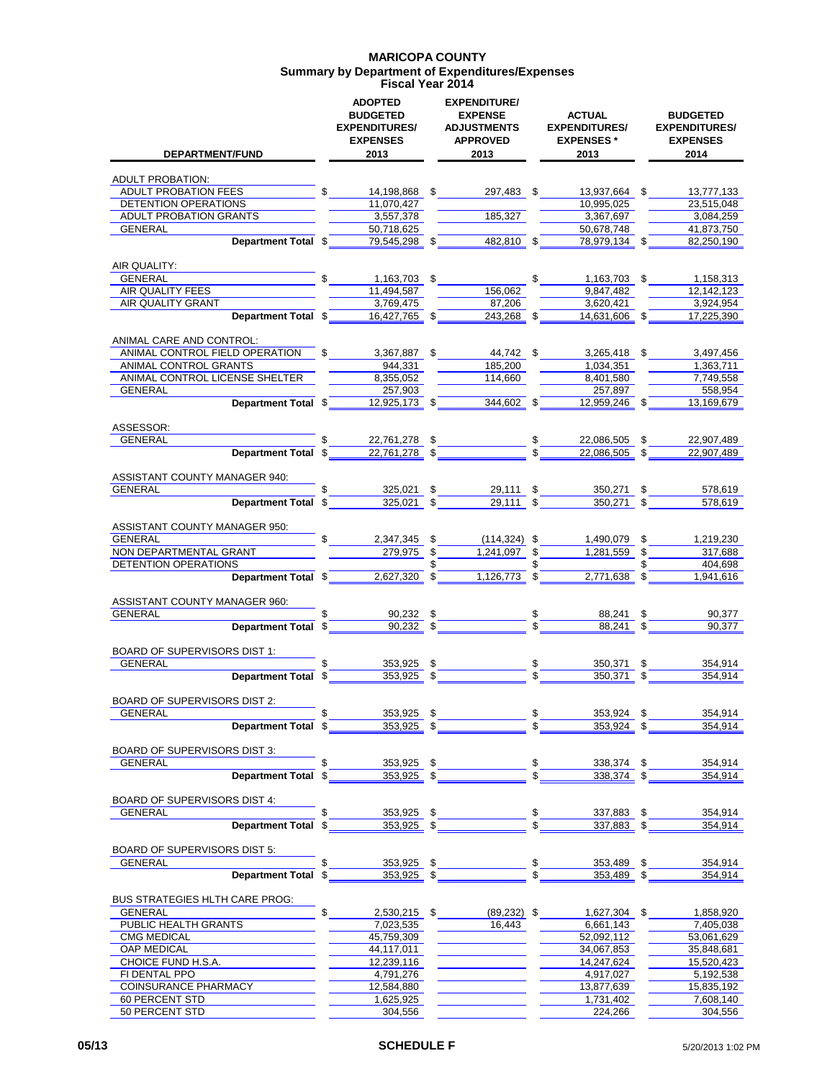### **MARICOPA COUNTY Summary by Department of Expenditures/Expenses Fiscal Year 2014**

| <b>DEPARTMENT/FUND</b>                          | <b>ADOPTED</b><br><b>BUDGETED</b><br><b>EXPENDITURES/</b><br><b>EXPENSES</b><br>2013 |               | <b>EXPENDITURE/</b><br><b>EXPENSE</b><br><b>ADJUSTMENTS</b><br><b>APPROVED</b><br>2013 | <b>ACTUAL</b><br><b>EXPENDITURES/</b><br><b>EXPENSES*</b><br>2013 | <b>BUDGETED</b><br><b>EXPENDITURES/</b><br><b>EXPENSES</b><br>2014 |
|-------------------------------------------------|--------------------------------------------------------------------------------------|---------------|----------------------------------------------------------------------------------------|-------------------------------------------------------------------|--------------------------------------------------------------------|
| <b>ADULT PROBATION:</b>                         |                                                                                      |               |                                                                                        |                                                                   |                                                                    |
| <b>ADULT PROBATION FEES</b>                     | 14,198,868 \$                                                                        |               | 297,483 \$                                                                             | 13,937,664 \$                                                     | 13,777,133                                                         |
| DETENTION OPERATIONS                            | 11,070,427                                                                           |               |                                                                                        | 10,995,025                                                        | 23,515,048                                                         |
| ADULT PROBATION GRANTS                          | 3,557,378                                                                            |               | 185,327                                                                                | 3,367,697                                                         | 3,084,259                                                          |
| GENERAL<br>Department Total \$                  | 50,718,625<br>79,545,298                                                             | \$            | 482,810 \$                                                                             | 50,678,748<br>78,979,134 \$                                       | 41,873,750<br>82,250,190                                           |
|                                                 |                                                                                      |               |                                                                                        |                                                                   |                                                                    |
| AIR QUALITY:                                    |                                                                                      |               |                                                                                        |                                                                   |                                                                    |
| <b>GENERAL</b><br>AIR QUALITY FEES              | 1,163,703 \$<br>11,494,587                                                           |               | 156,062                                                                                | \$<br>1,163,703 \$<br>9.847.482                                   | 1,158,313<br>12,142,123                                            |
| AIR QUALITY GRANT                               | 3,769,475                                                                            |               | 87,206                                                                                 | 3,620,421                                                         | 3,924,954                                                          |
| Department Total \$                             | 16,427,765 \$                                                                        |               | 243,268 \$                                                                             | 14,631,606 \$                                                     | 17,225,390                                                         |
| ANIMAL CARE AND CONTROL:                        |                                                                                      |               |                                                                                        |                                                                   |                                                                    |
| ANIMAL CONTROL FIELD OPERATION                  | 3,367,887 \$                                                                         |               | 44,742 \$                                                                              | 3,265,418 \$                                                      | 3,497,456                                                          |
| ANIMAL CONTROL GRANTS                           | 944.331                                                                              |               | 185.200                                                                                | 1.034.351                                                         | 1.363.711                                                          |
| ANIMAL CONTROL LICENSE SHELTER                  | 8,355,052                                                                            |               | 114,660                                                                                | 8,401,580                                                         | 7,749,558                                                          |
| GENERAL<br>Department Total \$                  | 257,903<br>12,925,173 \$                                                             |               | 344,602 \$                                                                             | 257.897<br>12,959,246 \$                                          | 558.954<br>13,169,679                                              |
|                                                 |                                                                                      |               |                                                                                        |                                                                   |                                                                    |
| ASSESSOR:<br>GENERAL                            | 22,761,278                                                                           | \$            |                                                                                        | \$<br>22,086,505                                                  | 22,907,489                                                         |
| Department Total \$                             | 22.761.278                                                                           | \$            |                                                                                        | 22,086,505                                                        | 22,907,489                                                         |
|                                                 |                                                                                      |               |                                                                                        |                                                                   |                                                                    |
| ASSISTANT COUNTY MANAGER 940:<br><b>GENERAL</b> | 325,021 \$                                                                           |               |                                                                                        |                                                                   |                                                                    |
| Department Total \$                             | $325,021$ \$                                                                         |               | 29,111 \$<br>$29,111$ \$                                                               | 350,271<br>350,271                                                | 578,619<br>578,619                                                 |
|                                                 |                                                                                      |               |                                                                                        |                                                                   |                                                                    |
| ASSISTANT COUNTY MANAGER 950:                   | \$                                                                                   |               |                                                                                        |                                                                   |                                                                    |
| GENERAL<br>NON DEPARTMENTAL GRANT               | 2,347,345<br>279,975                                                                 | \$<br>\$      | $(114, 324)$ \$<br>1,241,097                                                           | \$<br>1,490,079<br>1,281,559                                      | \$<br>1,219,230<br>317,688                                         |
| DETENTION OPERATIONS                            |                                                                                      |               |                                                                                        |                                                                   | 404,698                                                            |
| Department Total \$                             | $2,627,320$ \$                                                                       |               | 1,126,773                                                                              | \$<br>2,771,638                                                   | \$<br>1,941,616                                                    |
| ASSISTANT COUNTY MANAGER 960:                   |                                                                                      |               |                                                                                        |                                                                   |                                                                    |
| <b>GENERAL</b>                                  | \$<br>90,232 \$                                                                      |               |                                                                                        | \$<br>88,241                                                      | \$<br>90,377                                                       |
| Department Total \$                             | 90,232 \$                                                                            |               |                                                                                        | \$<br>88.241                                                      | \$<br>90,377                                                       |
| <b>BOARD OF SUPERVISORS DIST 1:</b>             |                                                                                      |               |                                                                                        |                                                                   |                                                                    |
| <b>GENERAL</b>                                  | 353,925                                                                              | \$            |                                                                                        | \$<br>350,371                                                     | \$<br>354.914                                                      |
| Department Total \$                             | $353,925$ \$                                                                         |               |                                                                                        | \$<br>350.371                                                     | \$<br>354.914                                                      |
| <b>BOARD OF SUPERVISORS DIST 2:</b>             |                                                                                      |               |                                                                                        |                                                                   |                                                                    |
| GENERAL                                         | \$<br>353,925                                                                        | \$            |                                                                                        | \$<br>353,924                                                     | \$<br>354,914                                                      |
| Department Total \$                             | 353,925                                                                              | $\sqrt[6]{3}$ |                                                                                        | 353,924                                                           | \$<br>354,914                                                      |
| BOARD OF SUPERVISORS DIST 3:                    |                                                                                      |               |                                                                                        |                                                                   |                                                                    |
| <b>GENERAL</b>                                  | 353,925 \$<br>\$                                                                     |               |                                                                                        | \$<br>338,374 \$                                                  | 354,914                                                            |
| Department Total \$                             | $353,925$ \$                                                                         |               |                                                                                        | \$<br>338,374 \$                                                  | 354,914                                                            |
| BOARD OF SUPERVISORS DIST 4:                    |                                                                                      |               |                                                                                        |                                                                   |                                                                    |
| <b>GENERAL</b>                                  | 353,925 \$                                                                           |               |                                                                                        | \$<br>337,883 \$                                                  | 354,914                                                            |
| Department Total \$                             | 353,925 \$                                                                           |               |                                                                                        | $337,883$ \$                                                      | 354,914                                                            |
| <b>BOARD OF SUPERVISORS DIST 5:</b>             |                                                                                      |               |                                                                                        |                                                                   |                                                                    |
| <b>GENERAL</b>                                  | 353,925<br>\$                                                                        | \$            |                                                                                        | 353,489                                                           | 354,914                                                            |
| <b>Department Total</b>                         | $353,925$ \$<br>\$                                                                   |               |                                                                                        | 353,489                                                           | 354,914                                                            |
| <b>BUS STRATEGIES HLTH CARE PROG:</b>           |                                                                                      |               |                                                                                        |                                                                   |                                                                    |
| <b>GENERAL</b>                                  | \$<br>2,530,215 \$                                                                   |               | $(89, 232)$ \$                                                                         | 1,627,304 \$                                                      | 1,858,920                                                          |
| PUBLIC HEALTH GRANTS                            | 7,023,535                                                                            |               | 16,443                                                                                 | 6,661,143                                                         | 7,405,038                                                          |
| <b>CMG MEDICAL</b><br>OAP MEDICAL               | 45,759,309<br>44,117,011                                                             |               |                                                                                        | 52,092,112<br>34,067,853                                          | 53,061,629<br>35,848,681                                           |
| CHOICE FUND H.S.A.                              | 12,239,116                                                                           |               |                                                                                        | 14,247,624                                                        | 15,520,423                                                         |
| FI DENTAL PPO                                   | 4,791,276                                                                            |               |                                                                                        | 4,917,027                                                         | 5,192,538                                                          |
| COINSURANCE PHARMACY                            | 12,584,880                                                                           |               |                                                                                        | 13,877,639                                                        | 15,835,192                                                         |
| 60 PERCENT STD                                  | 1,625,925                                                                            |               |                                                                                        | 1,731,402                                                         | 7,608,140                                                          |
| 50 PERCENT STD                                  | 304,556                                                                              |               |                                                                                        | 224,266                                                           | 304,556                                                            |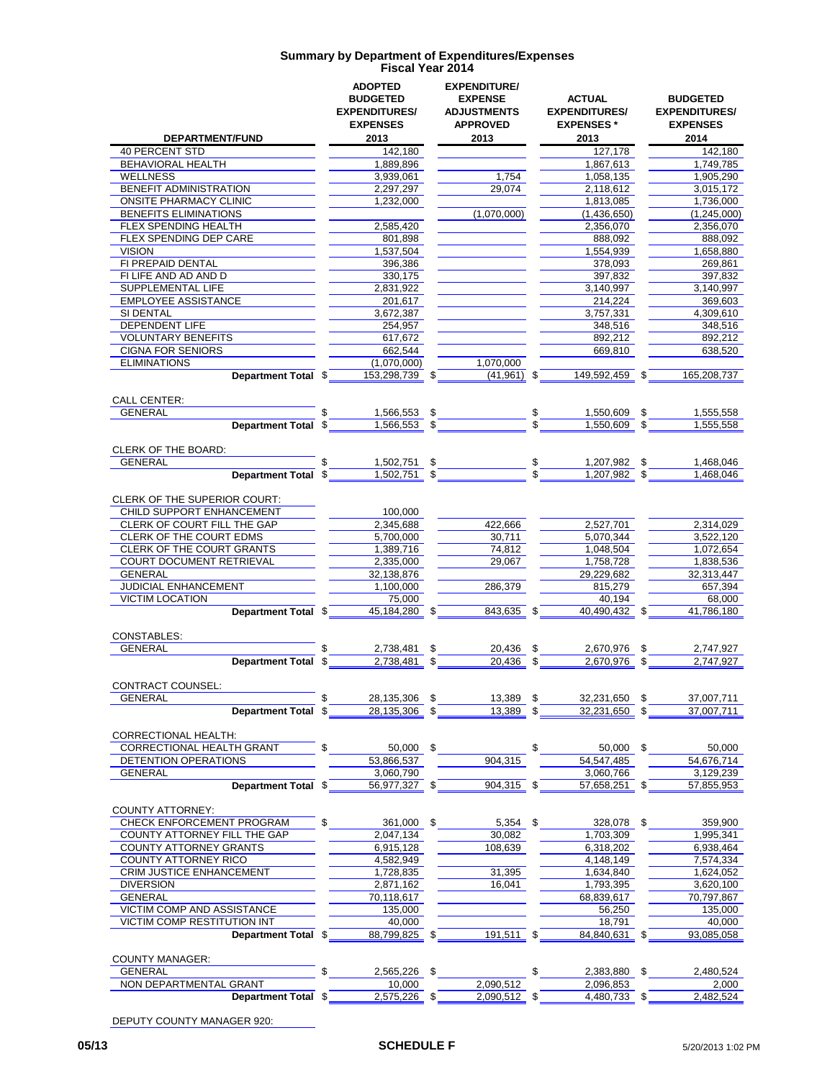|                                                               | <b>ADOPTED</b><br><b>BUDGETED</b><br><b>EXPENDITURES/</b><br><b>EXPENSES</b> |                    | <b>EXPENDITURE/</b><br><b>EXPENSE</b><br><b>ADJUSTMENTS</b><br><b>APPROVED</b> |          | <b>ACTUAL</b><br><b>EXPENDITURES/</b><br><b>EXPENSES*</b> | <b>BUDGETED</b><br><b>EXPENDITURES/</b><br><b>EXPENSES</b> |
|---------------------------------------------------------------|------------------------------------------------------------------------------|--------------------|--------------------------------------------------------------------------------|----------|-----------------------------------------------------------|------------------------------------------------------------|
| DEPARTMENT/FUND                                               | 2013                                                                         |                    | 2013                                                                           |          | 2013                                                      | 2014                                                       |
| <b>40 PERCENT STD</b>                                         | 142,180                                                                      |                    |                                                                                |          | 127,178                                                   | 142,180                                                    |
| BEHAVIORAL HEALTH                                             | 1,889,896                                                                    |                    |                                                                                |          | 1,867,613                                                 | 1,749,785                                                  |
| <b>WELLNESS</b>                                               | 3,939,061                                                                    |                    | 1,754                                                                          |          | 1.058.135                                                 | 1,905,290                                                  |
| BENEFIT ADMINISTRATION                                        | 2,297,297                                                                    |                    | 29,074                                                                         |          | 2,118,612                                                 | 3,015,172                                                  |
| <b>ONSITE PHARMACY CLINIC</b><br><b>BENEFITS ELIMINATIONS</b> | 1,232,000                                                                    |                    | (1,070,000)                                                                    |          | 1,813,085<br>(1,436,650)                                  | 1,736,000<br>(1,245,000)                                   |
| FLEX SPENDING HEALTH                                          | 2,585,420                                                                    |                    |                                                                                |          | 2,356,070                                                 | 2,356,070                                                  |
| FLEX SPENDING DEP CARE                                        | 801,898                                                                      |                    |                                                                                |          | 888.092                                                   | 888,092                                                    |
| <b>VISION</b>                                                 | 1,537,504                                                                    |                    |                                                                                |          | 1,554,939                                                 | 1,658,880                                                  |
| FI PREPAID DENTAL                                             | 396,386                                                                      |                    |                                                                                |          | 378,093                                                   | 269,861                                                    |
| FI LIFE AND AD AND D                                          | 330,175                                                                      |                    |                                                                                |          | 397.832                                                   | 397,832                                                    |
| SUPPLEMENTAL LIFE                                             | 2,831,922                                                                    |                    |                                                                                |          | 3,140,997                                                 | 3,140,997                                                  |
| <b>EMPLOYEE ASSISTANCE</b>                                    | 201,617                                                                      |                    |                                                                                |          | 214,224                                                   | 369,603                                                    |
| SI DENTAL                                                     | 3,672,387                                                                    |                    |                                                                                |          | 3,757,331                                                 | 4,309,610                                                  |
| <b>DEPENDENT LIFE</b>                                         | 254,957                                                                      |                    |                                                                                |          | 348,516                                                   | 348,516                                                    |
| <b>VOLUNTARY BENEFITS</b>                                     | 617,672                                                                      |                    |                                                                                |          | 892,212                                                   | 892,212                                                    |
| <b>CIGNA FOR SENIORS</b>                                      | 662,544                                                                      |                    |                                                                                |          | 669,810                                                   | 638,520                                                    |
| <b>ELIMINATIONS</b>                                           | (1,070,000)                                                                  |                    | 1.070.000                                                                      |          |                                                           |                                                            |
| Department Total \$                                           | 153,298,739                                                                  | \$                 | (41, 961)                                                                      | \$       | 149,592,459                                               | \$<br>165,208,737                                          |
|                                                               |                                                                              |                    |                                                                                |          |                                                           |                                                            |
| <b>CALL CENTER:</b>                                           |                                                                              |                    |                                                                                |          |                                                           |                                                            |
| <b>GENERAL</b><br><b>Department Total</b>                     | \$<br>1,566,553<br>1,566,553                                                 | \$<br>$\mathbb{S}$ |                                                                                | \$.      | 1,550,609                                                 | \$<br>1,555,558                                            |
|                                                               | \$                                                                           |                    |                                                                                |          | 1,550,609                                                 | 1,555,558                                                  |
| <b>CLERK OF THE BOARD:</b>                                    |                                                                              |                    |                                                                                |          |                                                           |                                                            |
| <b>GENERAL</b>                                                | 1,502,751                                                                    | \$                 |                                                                                | \$       | 1,207,982                                                 | \$<br>1,468,046                                            |
| <b>Department Total</b>                                       | 1,502,751<br>\$                                                              | \$                 |                                                                                |          | 1,207,982                                                 | 1,468,046                                                  |
|                                                               |                                                                              |                    |                                                                                |          |                                                           |                                                            |
| CLERK OF THE SUPERIOR COURT:                                  |                                                                              |                    |                                                                                |          |                                                           |                                                            |
| CHILD SUPPORT ENHANCEMENT                                     | 100,000                                                                      |                    |                                                                                |          |                                                           |                                                            |
| CLERK OF COURT FILL THE GAP                                   | 2,345,688                                                                    |                    | 422,666                                                                        |          | 2,527,701                                                 | 2,314,029                                                  |
| CLERK OF THE COURT EDMS                                       | 5,700,000                                                                    |                    | 30,711                                                                         |          | 5,070,344                                                 | 3,522,120                                                  |
| CLERK OF THE COURT GRANTS                                     | 1,389,716                                                                    |                    | 74,812                                                                         |          | 1,048,504                                                 | 1,072,654                                                  |
| <b>COURT DOCUMENT RETRIEVAL</b>                               | 2,335,000                                                                    |                    | 29,067                                                                         |          | 1,758,728                                                 | 1,838,536                                                  |
| GENERAL                                                       | 32,138,876                                                                   |                    |                                                                                |          | 29,229,682                                                | 32,313,447                                                 |
| JUDICIAL ENHANCEMENT                                          | 1,100,000                                                                    |                    | 286,379                                                                        |          | 815,279                                                   | 657,394                                                    |
| <b>VICTIM LOCATION</b>                                        | 75,000                                                                       |                    |                                                                                |          | 40,194                                                    | 68,000                                                     |
| Department Total \$                                           | 45,184,280                                                                   | \$                 | 843.635 \$                                                                     |          | 40,490,432                                                | 41,786,180                                                 |
|                                                               |                                                                              |                    |                                                                                |          |                                                           |                                                            |
| CONSTABLES:                                                   |                                                                              |                    |                                                                                |          |                                                           |                                                            |
| <b>GENERAL</b>                                                | 2,738,481<br>\$                                                              | \$                 | 20.436                                                                         | \$       | 2,670,976                                                 | \$<br>2,747,927                                            |
| Department Total \$                                           | 2,738,481                                                                    | \$                 | 20.436                                                                         | \$       | 2,670,976                                                 | \$<br>2,747,927                                            |
|                                                               |                                                                              |                    |                                                                                |          |                                                           |                                                            |
| CONTRACT COUNSEL:                                             |                                                                              |                    |                                                                                |          |                                                           |                                                            |
| <b>GENERAL</b>                                                | 28,135,306<br>\$                                                             | \$                 | 13,389                                                                         | \$<br>\$ | 32,231,650                                                | \$<br>37,007,711                                           |
| Department Total \$                                           | 28,135,306                                                                   | \$                 | 13,389                                                                         |          | 32,231,650                                                | 37,007,711                                                 |
| <b>CORRECTIONAL HEALTH:</b>                                   |                                                                              |                    |                                                                                |          |                                                           |                                                            |
| CORRECTIONAL HEALTH GRANT                                     | 50,000                                                                       | \$                 |                                                                                | \$       | 50,000                                                    | \$<br>50,000                                               |
| DETENTION OPERATIONS                                          | 53,866,537                                                                   |                    | 904,315                                                                        |          | 54,547,485                                                | 54,676,714                                                 |
| <b>GENERAL</b>                                                | 3,060,790                                                                    |                    |                                                                                |          | 3,060,766                                                 | 3,129,239                                                  |
| Department Total \$                                           | 56,977,327 \$                                                                |                    | 904,315 \$                                                                     |          | 57,658,251 \$                                             | 57,855,953                                                 |
|                                                               |                                                                              |                    |                                                                                |          |                                                           |                                                            |
| <b>COUNTY ATTORNEY:</b>                                       |                                                                              |                    |                                                                                |          |                                                           |                                                            |
| CHECK ENFORCEMENT PROGRAM                                     | \$<br>361,000                                                                | \$                 | 5,354                                                                          | \$       | 328,078                                                   | \$<br>359,900                                              |
| COUNTY ATTORNEY FILL THE GAP                                  | 2,047,134                                                                    |                    | 30.082                                                                         |          | 1,703,309                                                 | 1,995,341                                                  |
| <b>COUNTY ATTORNEY GRANTS</b>                                 | 6,915,128                                                                    |                    | 108,639                                                                        |          | 6,318,202                                                 | 6,938,464                                                  |
| <b>COUNTY ATTORNEY RICO</b>                                   | 4,582,949                                                                    |                    |                                                                                |          | 4,148,149                                                 | 7,574,334                                                  |
| <b>CRIM JUSTICE ENHANCEMENT</b>                               | 1,728,835                                                                    |                    | 31,395                                                                         |          | 1,634,840                                                 | 1,624,052                                                  |
| <b>DIVERSION</b>                                              | 2,871,162                                                                    |                    | 16,041                                                                         |          | 1,793,395                                                 | 3,620,100                                                  |
| <b>GENERAL</b>                                                | 70,118,617                                                                   |                    |                                                                                |          | 68,839,617                                                | 70,797,867                                                 |
| VICTIM COMP AND ASSISTANCE                                    | 135,000                                                                      |                    |                                                                                |          | 56,250                                                    | 135,000                                                    |
| <b>VICTIM COMP RESTITUTION INT</b>                            | 40,000                                                                       |                    |                                                                                |          | 18,791                                                    | 40,000                                                     |
| Department Total \$                                           | 88,799,825                                                                   | S                  | 191,511                                                                        | \$       | 84,840,631                                                | 93,085,058                                                 |
|                                                               |                                                                              |                    |                                                                                |          |                                                           |                                                            |
| <b>COUNTY MANAGER:</b>                                        |                                                                              |                    |                                                                                |          |                                                           |                                                            |
| <b>GENERAL</b>                                                | 2,565,226                                                                    | \$                 |                                                                                | \$       | 2,383,880                                                 | \$<br>2,480,524                                            |
| NON DEPARTMENTAL GRANT                                        | 10,000                                                                       |                    | 2,090,512                                                                      |          | 2,096,853                                                 | 2,000                                                      |
| Department Total \$                                           | 2,575,226 \$                                                                 |                    | 2,090,512 \$                                                                   |          | 4,480,733 \$                                              | 2,482,524                                                  |

DEPUTY COUNTY MANAGER 920: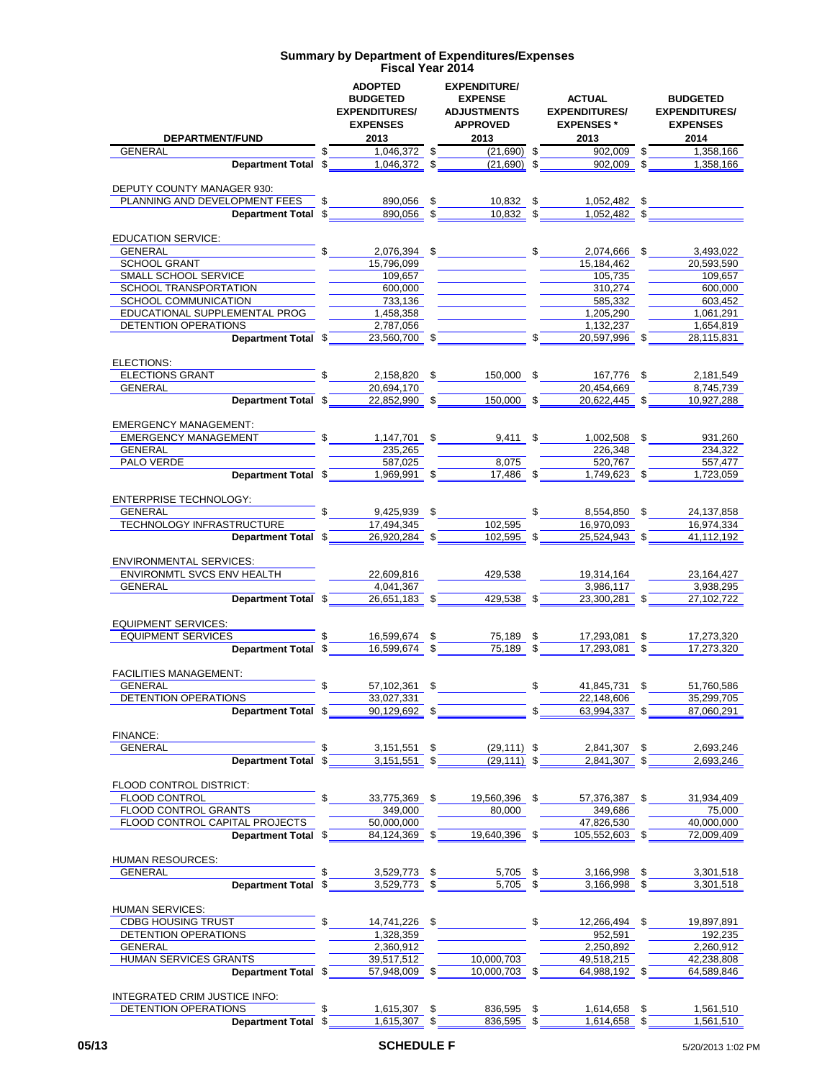| <b>DEPARTMENT/FUND</b>                                         |                      | <b>ADOPTED</b><br><b>BUDGETED</b><br><b>EXPENDITURES/</b><br><b>EXPENSES</b><br>2013 |          | <b>EXPENDITURE/</b><br><b>EXPENSE</b><br><b>ADJUSTMENTS</b><br><b>APPROVED</b><br>2013 |               | ACTUAL<br><b>EXPENDITURES/</b><br><b>EXPENSES</b> *<br>2013 |      | <b>BUDGETED</b><br><b>EXPENDITURES/</b><br><b>EXPENSES</b><br>2014 |
|----------------------------------------------------------------|----------------------|--------------------------------------------------------------------------------------|----------|----------------------------------------------------------------------------------------|---------------|-------------------------------------------------------------|------|--------------------------------------------------------------------|
| GENERAL                                                        |                      | $1,046,372$ \$                                                                       |          | $(21,690)$ \$                                                                          |               | 902,009 \$                                                  |      | 1,358,166                                                          |
| Department Total \$1,046,372 \$                                |                      |                                                                                      |          | $(21,690)$ \$                                                                          |               | $902,009$ \$                                                |      | 1,358,166                                                          |
|                                                                |                      |                                                                                      |          |                                                                                        |               |                                                             |      |                                                                    |
| DEPUTY COUNTY MANAGER 930:<br>PLANNING AND DEVELOPMENT FEES \$ |                      |                                                                                      |          |                                                                                        |               |                                                             |      |                                                                    |
| Department Total \$                                            |                      | 890,056 \$<br>$890,056$ \$                                                           |          | $10,832$ \$<br>$\frac{10,832}{9}$ \$                                                   |               | 1,052,482 \$<br>$1,052,482$ \$                              |      |                                                                    |
|                                                                |                      |                                                                                      |          |                                                                                        |               |                                                             |      |                                                                    |
| <b>EDUCATION SERVICE:</b>                                      |                      |                                                                                      |          |                                                                                        |               |                                                             |      |                                                                    |
| <b>GENERAL</b>                                                 | $\frac{1}{\sqrt{2}}$ |                                                                                      |          |                                                                                        |               | $2,076,394$ \$ 2,074,666 \$                                 |      | 3,493,022                                                          |
| SCHOOL GRANT                                                   |                      | 15,796,099                                                                           |          |                                                                                        |               | 15,184,462                                                  |      | 20.593.590                                                         |
| SMALL SCHOOL SERVICE                                           |                      | 109,657                                                                              |          |                                                                                        |               | 105,735                                                     |      | 109,657                                                            |
| SCHOOL TRANSPORTATION                                          |                      | 600,000                                                                              |          |                                                                                        |               | 310,274                                                     |      | 600,000                                                            |
| SCHOOL COMMUNICATION                                           |                      | 733,136                                                                              |          |                                                                                        |               | 585,332                                                     |      | 603,452                                                            |
| EDUCATIONAL SUPPLEMENTAL PROG                                  |                      | 1,458,358                                                                            |          |                                                                                        |               | 1,205,290                                                   |      | 1,061,291                                                          |
| <b>DETENTION OPERATIONS</b>                                    |                      | 2,787,056                                                                            |          | $23,560,700$ \$                                                                        |               | 1,132,237                                                   |      | 1,654,819                                                          |
| Department Total \$                                            |                      |                                                                                      |          |                                                                                        |               | $\overline{\text{S}}$<br>20,597,996 \$                      |      | 28,115,831                                                         |
| ELECTIONS:                                                     |                      |                                                                                      |          |                                                                                        |               |                                                             |      |                                                                    |
| <b>ELECTIONS GRANT</b>                                         | \$                   |                                                                                      |          | 2,158,820 \$ 150,000 \$                                                                |               | 167.776 \$                                                  |      | 2.181.549                                                          |
| <b>GENERAL</b>                                                 |                      | 20,694,170                                                                           |          |                                                                                        |               | 20,454,669                                                  |      | 8,745,739                                                          |
| Department Total \$                                            |                      | 22.852.990 \$                                                                        |          | $\overline{150,000}$ \$                                                                |               | 20,622,445 \$                                               |      | 10.927.288                                                         |
|                                                                |                      |                                                                                      |          |                                                                                        |               |                                                             |      |                                                                    |
| <b>EMERGENCY MANAGEMENT:</b>                                   |                      |                                                                                      |          |                                                                                        |               |                                                             |      |                                                                    |
| <b>EMERGENCY MANAGEMENT</b>                                    | \$                   |                                                                                      |          |                                                                                        |               | 1,147,701 \$ 9,411 \$ 1,002,508 \$                          |      | 931,260                                                            |
| GENERAL                                                        |                      | 235,265                                                                              |          |                                                                                        |               | 226,348                                                     |      | 234,322                                                            |
| PALO VERDE                                                     |                      | 587,025                                                                              |          | 8.075                                                                                  |               | 520,767                                                     |      | 557,477                                                            |
| Department Total \$                                            |                      | $1,969,991$ \$                                                                       |          | 17,486 \$                                                                              |               | 1.749.623 \$                                                |      | 1.723.059                                                          |
|                                                                |                      |                                                                                      |          |                                                                                        |               |                                                             |      |                                                                    |
| <b>ENTERPRISE TECHNOLOGY:</b>                                  | $\mathbb{S}$         |                                                                                      |          |                                                                                        |               |                                                             |      |                                                                    |
| <b>GENERAL</b>                                                 |                      | 9,425,939 \$                                                                         |          |                                                                                        | $\mathsf{\$}$ | 8,554,850 \$                                                |      | 24,137,858                                                         |
| TECHNOLOGY INFRASTRUCTURE<br>Department Total \$               |                      | 17,494,345<br>26,920,284 \$                                                          |          | 102,595<br>$102,595$ \$                                                                |               | 16,970,093<br>$25,524,943$ \$                               |      | 16,974,334<br>41,112,192                                           |
|                                                                |                      |                                                                                      |          |                                                                                        |               |                                                             |      |                                                                    |
| <b>ENVIRONMENTAL SERVICES:</b>                                 |                      |                                                                                      |          |                                                                                        |               |                                                             |      |                                                                    |
| ENVIRONMTL SVCS ENV HEALTH                                     |                      | 22,609,816                                                                           |          | 429,538                                                                                |               | 19,314,164                                                  |      | 23, 164, 427                                                       |
| <b>GENERAL</b>                                                 |                      | 4,041,367                                                                            |          |                                                                                        |               | 3,986,117                                                   |      | 3,938,295                                                          |
| Department Total \$                                            |                      | 26,651,183 \$                                                                        |          | 429,538                                                                                |               | 23,300,281 \$                                               |      | 27,102,722                                                         |
|                                                                |                      |                                                                                      |          |                                                                                        |               |                                                             |      |                                                                    |
| <b>EQUIPMENT SERVICES:</b>                                     |                      |                                                                                      |          |                                                                                        |               |                                                             |      |                                                                    |
| <b>EQUIPMENT SERVICES</b>                                      | \$                   | 16,599,674 \$                                                                        |          | $\frac{75,189}{75,189}$ \$                                                             |               | 17,293,081                                                  |      | 17,273,320                                                         |
| Department Total \$                                            |                      | 16,599,674 \$                                                                        |          |                                                                                        |               | 17.293.081 \$                                               |      | 17,273,320                                                         |
|                                                                |                      |                                                                                      |          |                                                                                        |               |                                                             |      |                                                                    |
| <b>FACILITIES MANAGEMENT:</b><br><b>GENERAL</b>                | \$                   |                                                                                      |          |                                                                                        |               |                                                             |      |                                                                    |
| DETENTION OPERATIONS                                           |                      | 57,102,361 \$<br>33,027,331                                                          |          |                                                                                        | \$            | 41,845,731<br>22,148,606                                    | \$   | 51,760,586<br>35,299,705                                           |
| Department Total \$                                            |                      | 90,129,692 \$                                                                        |          |                                                                                        |               | 63,994,337                                                  |      | 87,060,291                                                         |
|                                                                |                      |                                                                                      |          |                                                                                        |               |                                                             |      |                                                                    |
| <b>FINANCE:</b>                                                |                      |                                                                                      |          |                                                                                        |               |                                                             |      |                                                                    |
| <b>GENERAL</b>                                                 |                      | 3,151,551                                                                            | \$       | $(29, 111)$ \$                                                                         |               | 2,841,307                                                   | \$   | 2,693,246                                                          |
| Department Total \$                                            |                      | 3,151,551                                                                            | \$       | $(29, 111)$ \$                                                                         |               | 2,841,307                                                   |      | 2,693,246                                                          |
|                                                                |                      |                                                                                      |          |                                                                                        |               |                                                             |      |                                                                    |
| FLOOD CONTROL DISTRICT:                                        |                      |                                                                                      |          |                                                                                        |               |                                                             |      |                                                                    |
| FLOOD CONTROL                                                  |                      | 33,775,369                                                                           | \$       | 19,560,396 \$                                                                          |               | 57,376,387 \$                                               |      | 31,934,409                                                         |
| FLOOD CONTROL GRANTS                                           |                      | 349,000                                                                              |          | 80.000                                                                                 |               | 349,686                                                     |      | 75,000                                                             |
| FLOOD CONTROL CAPITAL PROJECTS                                 |                      | 50,000,000                                                                           |          |                                                                                        |               | 47,826,530                                                  |      | 40,000,000                                                         |
| Department Total \$                                            |                      | 84,124,369 \$                                                                        |          | 19,640,396                                                                             | \$            | 105,552,603 \$                                              |      | 72,009,409                                                         |
|                                                                |                      |                                                                                      |          |                                                                                        |               |                                                             |      |                                                                    |
| HUMAN RESOURCES:<br><b>GENERAL</b>                             |                      | 3,529,773                                                                            |          |                                                                                        |               |                                                             |      |                                                                    |
| <b>Department Total</b>                                        | -\$                  | 3,529,773                                                                            | \$<br>\$ | 5,705 \$<br>5,705                                                                      | \$            | 3,166,998<br>3,166,998 \$                                   | - \$ | 3,301,518<br>3,301,518                                             |
|                                                                |                      |                                                                                      |          |                                                                                        |               |                                                             |      |                                                                    |
| HUMAN SERVICES:                                                |                      |                                                                                      |          |                                                                                        |               |                                                             |      |                                                                    |
| <b>CDBG HOUSING TRUST</b>                                      |                      | 14,741,226 \$                                                                        |          |                                                                                        | \$            | 12,266,494 \$                                               |      | 19,897,891                                                         |
| DETENTION OPERATIONS                                           |                      | 1,328,359                                                                            |          |                                                                                        |               | 952,591                                                     |      | 192,235                                                            |
| <b>GENERAL</b>                                                 |                      | 2,360,912                                                                            |          |                                                                                        |               | 2,250,892                                                   |      | 2,260,912                                                          |
| HUMAN SERVICES GRANTS                                          |                      | 39,517,512                                                                           |          | 10,000,703                                                                             |               | 49,518,215                                                  |      | 42,238,808                                                         |
| Department Total \$                                            |                      | 57,948,009                                                                           | \$       | 10,000,703 \$                                                                          |               | 64,988,192 \$                                               |      | 64,589,846                                                         |
|                                                                |                      |                                                                                      |          |                                                                                        |               |                                                             |      |                                                                    |
| INTEGRATED CRIM JUSTICE INFO:                                  |                      |                                                                                      |          |                                                                                        |               |                                                             |      |                                                                    |
| DETENTION OPERATIONS                                           | \$                   | 1,615,307 \$                                                                         |          | 836,595 \$                                                                             |               | 1,614,658 \$                                                |      | 1,561,510                                                          |
| Department Total \$                                            |                      | 1,615,307 \$                                                                         |          | 836,595                                                                                | - \$          | 1,614,658 \$                                                |      | 1,561,510                                                          |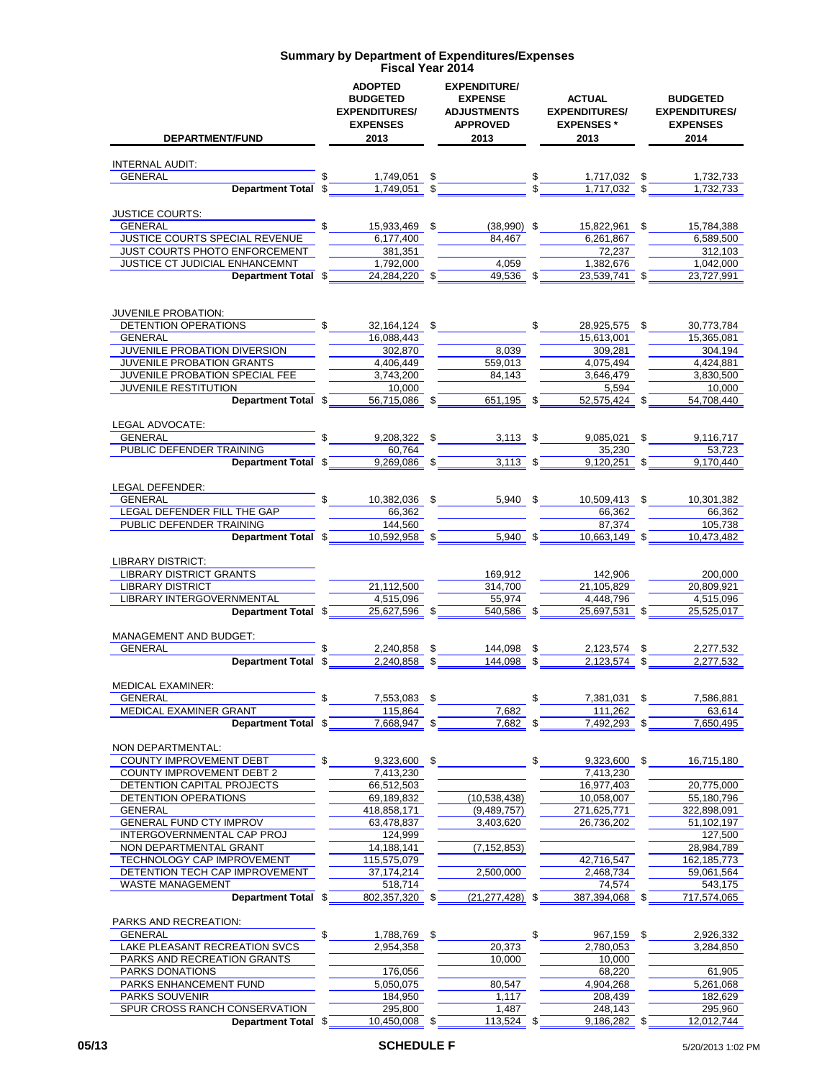| DEPARTMENT/FUND                                      | <b>ADOPTED</b><br><b>BUDGETED</b><br><b>EXPENDITURES/</b><br><b>EXPENSES</b><br>2013 | <b>EXPENDITURE/</b><br><b>EXPENSE</b><br><b>ADJUSTMENTS</b><br><b>APPROVED</b><br>2013 | <b>ACTUAL</b><br><b>EXPENDITURES/</b><br><b>EXPENSES*</b><br>2013 |     | <b>BUDGETED</b><br><b>EXPENDITURES/</b><br><b>EXPENSES</b><br>2014 |
|------------------------------------------------------|--------------------------------------------------------------------------------------|----------------------------------------------------------------------------------------|-------------------------------------------------------------------|-----|--------------------------------------------------------------------|
| <b>INTERNAL AUDIT:</b>                               |                                                                                      |                                                                                        |                                                                   |     |                                                                    |
| <b>GENERAL</b>                                       | 1,749,051                                                                            | \$                                                                                     | \$<br>1,717,032                                                   | \$  | 1,732,733                                                          |
| Department Total \$                                  | 1,749,051                                                                            | \$                                                                                     | 1,717,032                                                         | \$  | 1,732,733                                                          |
|                                                      |                                                                                      |                                                                                        |                                                                   |     |                                                                    |
| <b>JUSTICE COURTS:</b><br>GENERAL                    | \$<br>15,933,469 \$                                                                  | $(38,990)$ \$                                                                          | 15,822,961                                                        | \$  | 15,784,388                                                         |
| <b>JUSTICE COURTS SPECIAL REVENUE</b>                | 6,177,400                                                                            | 84,467                                                                                 | 6,261,867                                                         |     | 6,589,500                                                          |
| JUST COURTS PHOTO ENFORCEMENT                        | 381,351                                                                              |                                                                                        | 72,237                                                            |     | 312,103                                                            |
| JUSTICE CT JUDICIAL ENHANCEMNT                       | 1,792,000                                                                            | 4.059                                                                                  | 1,382,676                                                         |     | 1.042.000                                                          |
| Department Total \$                                  | 24,284,220                                                                           | \$<br>49,536                                                                           | \$<br>23,539,741                                                  |     | 23,727,991                                                         |
|                                                      |                                                                                      |                                                                                        |                                                                   |     |                                                                    |
| JUVENILE PROBATION:                                  |                                                                                      |                                                                                        |                                                                   |     |                                                                    |
| DETENTION OPERATIONS                                 | \$<br>32,164,124                                                                     | \$                                                                                     | \$<br>28,925,575                                                  | S   | 30,773,784                                                         |
| <b>GENERAL</b>                                       | 16,088,443                                                                           |                                                                                        | 15,613,001                                                        |     | 15,365,081                                                         |
| JUVENILE PROBATION DIVERSION                         | 302,870                                                                              | 8,039                                                                                  | 309,281                                                           |     | 304.194                                                            |
| JUVENILE PROBATION GRANTS                            | 4,406,449                                                                            | 559.013                                                                                | 4,075,494                                                         |     | 4,424,881                                                          |
| JUVENILE PROBATION SPECIAL FEE                       | 3,743,200                                                                            | 84,143                                                                                 | 3.646.479                                                         |     | 3,830,500                                                          |
| <b>JUVENILE RESTITUTION</b>                          | 10,000                                                                               |                                                                                        | 5,594                                                             |     | 10,000                                                             |
| Department Total \$                                  | 56,715,086                                                                           | \$<br>651,195                                                                          | \$<br>52,575,424                                                  |     | 54,708,440                                                         |
|                                                      |                                                                                      |                                                                                        |                                                                   |     |                                                                    |
| LEGAL ADVOCATE:<br><b>GENERAL</b>                    | 9,208,322 \$                                                                         | $3,113$ \$                                                                             | 9.085.021                                                         | \$  | 9,116,717                                                          |
| PUBLIC DEFENDER TRAINING                             | 60.764                                                                               |                                                                                        | 35,230                                                            |     | 53.723                                                             |
| Department Total \$                                  | 9,269,086 \$                                                                         | $3,113$ \$                                                                             | 9,120,251 \$                                                      |     | 9.170.440                                                          |
|                                                      |                                                                                      |                                                                                        |                                                                   |     |                                                                    |
| LEGAL DEFENDER:                                      |                                                                                      |                                                                                        |                                                                   |     |                                                                    |
| <b>GENERAL</b>                                       | 10,382,036 \$                                                                        | $5,940$ \$                                                                             | 10,509,413 \$                                                     |     | 10,301,382                                                         |
| LEGAL DEFENDER FILL THE GAP                          | 66,362                                                                               |                                                                                        | 66,362                                                            |     | 66,362                                                             |
| PUBLIC DEFENDER TRAINING<br>Department Total \$      | 144,560                                                                              |                                                                                        | 87,374                                                            |     | 105,738                                                            |
|                                                      | 10,592,958 \$                                                                        | 5,940 \$                                                                               | 10,663,149                                                        | -\$ | 10,473,482                                                         |
| <b>LIBRARY DISTRICT:</b>                             |                                                                                      |                                                                                        |                                                                   |     |                                                                    |
| <b>LIBRARY DISTRICT GRANTS</b>                       |                                                                                      | 169,912                                                                                | 142,906                                                           |     | 200,000                                                            |
| <b>LIBRARY DISTRICT</b>                              | 21,112,500                                                                           | 314,700                                                                                | 21,105,829                                                        |     | 20,809,921                                                         |
| LIBRARY INTERGOVERNMENTAL                            | 4,515,096                                                                            | 55,974                                                                                 | 4,448,796                                                         |     | 4,515,096                                                          |
| Department Total \$                                  | 25,627,596                                                                           | \$<br>540.586                                                                          | \$<br>25,697,531                                                  |     | 25,525,017                                                         |
| <b>MANAGEMENT AND BUDGET:</b>                        |                                                                                      |                                                                                        |                                                                   |     |                                                                    |
| <b>GENERAL</b>                                       | 2,240,858                                                                            | \$<br>144,098                                                                          | \$<br>2,123,574                                                   | \$  | 2,277,532                                                          |
| <b>Department Total</b><br>\$                        | 2.240.858                                                                            | \$<br>144,098                                                                          | \$<br>2,123,574                                                   |     | 2,277,532                                                          |
|                                                      |                                                                                      |                                                                                        |                                                                   |     |                                                                    |
| <b>MEDICAL EXAMINER:</b>                             |                                                                                      |                                                                                        |                                                                   |     |                                                                    |
| <b>GENERAL</b>                                       | \$<br>7,553,083 \$                                                                   |                                                                                        | \$<br>7,381,031 \$                                                |     | 7,586,881                                                          |
| MEDICAL EXAMINER GRANT                               | 115,864                                                                              | 7,682                                                                                  | 111,262                                                           |     | 63,614                                                             |
| <b>Department Total</b><br>\$                        | 7,668,947                                                                            | \$<br>7,682                                                                            | \$<br>7,492,293                                                   | \$  | 7,650,495                                                          |
| NON DEPARTMENTAL:                                    |                                                                                      |                                                                                        |                                                                   |     |                                                                    |
| <b>COUNTY IMPROVEMENT DEBT</b><br>\$                 | 9,323,600                                                                            | \$                                                                                     | \$<br>9,323,600 \$                                                |     | 16,715,180                                                         |
| <b>COUNTY IMPROVEMENT DEBT 2</b>                     | 7,413,230                                                                            |                                                                                        | 7,413,230                                                         |     |                                                                    |
| DETENTION CAPITAL PROJECTS                           | 66,512,503                                                                           |                                                                                        | 16,977,403                                                        |     | 20,775,000                                                         |
| <b>DETENTION OPERATIONS</b>                          | 69,189,832                                                                           | (10, 538, 438)                                                                         | 10,058,007                                                        |     | 55,180,796                                                         |
| <b>GENERAL</b>                                       | 418,858,171                                                                          | (9,489,757)                                                                            | 271,625,771                                                       |     | 322,898,091                                                        |
| <b>GENERAL FUND CTY IMPROV</b>                       | 63,478,837                                                                           | 3,403,620                                                                              | 26,736,202                                                        |     | 51,102,197                                                         |
| INTERGOVERNMENTAL CAP PROJ<br>NON DEPARTMENTAL GRANT | 124,999<br>14,188,141                                                                | (7, 152, 853)                                                                          |                                                                   |     | 127,500<br>28,984,789                                              |
| TECHNOLOGY CAP IMPROVEMENT                           | 115,575,079                                                                          |                                                                                        | 42,716,547                                                        |     | 162, 185, 773                                                      |
| DETENTION TECH CAP IMPROVEMENT                       | 37, 174, 214                                                                         | 2,500,000                                                                              | 2,468,734                                                         |     | 59,061,564                                                         |
| <b>WASTE MANAGEMENT</b>                              | 518,714                                                                              |                                                                                        | 74,574                                                            |     | 543,175                                                            |
| Department Total \$                                  | 802,357,320 \$                                                                       | (21, 277, 428)                                                                         | \$<br>387,394,068                                                 |     | 717,574,065                                                        |
|                                                      |                                                                                      |                                                                                        |                                                                   |     |                                                                    |
| PARKS AND RECREATION:                                |                                                                                      |                                                                                        |                                                                   |     |                                                                    |
| GENERAL                                              | 1,788,769                                                                            | \$                                                                                     | \$<br>967,159                                                     | \$  | 2,926,332                                                          |
| LAKE PLEASANT RECREATION SVCS                        | 2,954,358                                                                            | 20,373                                                                                 | 2,780,053                                                         |     | 3,284,850                                                          |
| PARKS AND RECREATION GRANTS<br>PARKS DONATIONS       | 176,056                                                                              | 10,000                                                                                 | 10,000<br>68,220                                                  |     | 61,905                                                             |
| PARKS ENHANCEMENT FUND                               | 5,050,075                                                                            | 80,547                                                                                 | 4,904,268                                                         |     | 5,261,068                                                          |
| PARKS SOUVENIR                                       | 184,950                                                                              | 1,117                                                                                  | 208,439                                                           |     | 182,629                                                            |
| SPUR CROSS RANCH CONSERVATION                        | 295,800                                                                              | 1,487                                                                                  | 248,143                                                           |     | 295,960                                                            |
| Department Total \$                                  | 10,450,008 \$                                                                        | 113,524 \$                                                                             | 9,186,282 \$                                                      |     | 12,012,744                                                         |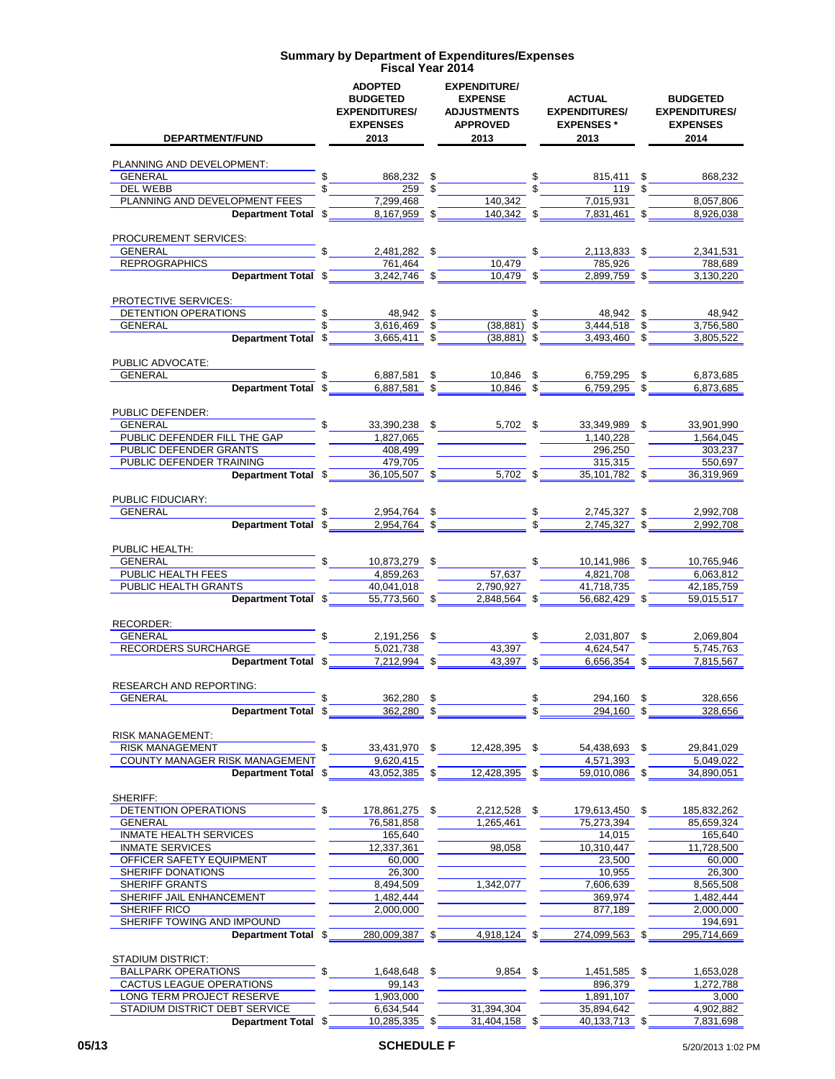| DEPARTMENT/FUND                                         | <b>ADOPTED</b><br><b>BUDGETED</b><br><b>EXPENDITURES/</b><br><b>EXPENSES</b><br>2013 | <b>EXPENDITURE/</b><br><b>EXPENSE</b><br><b>ADJUSTMENTS</b><br><b>APPROVED</b><br>2013 |                                                               | <b>ACTUAL</b><br><b>EXPENDITURES/</b><br><b>EXPENSES</b> *<br>2013 | <b>BUDGETED</b><br><b>EXPENDITURES/</b><br><b>EXPENSES</b><br>2014 |
|---------------------------------------------------------|--------------------------------------------------------------------------------------|----------------------------------------------------------------------------------------|---------------------------------------------------------------|--------------------------------------------------------------------|--------------------------------------------------------------------|
| PLANNING AND DEVELOPMENT:                               |                                                                                      |                                                                                        |                                                               |                                                                    |                                                                    |
| \$<br>GENERAL                                           | 868,232 \$                                                                           |                                                                                        | \$                                                            | 815,411 \$                                                         | 868.232                                                            |
| DEL WEBB                                                | $259$ \$                                                                             |                                                                                        | \$                                                            | 119 \$                                                             |                                                                    |
| PLANNING AND DEVELOPMENT FEES                           | 7,299,468                                                                            | 140,342                                                                                |                                                               | 7,015,931                                                          | 8,057,806                                                          |
| Department Total \$                                     | $8,167,959$ \$                                                                       | $140,342$ \$                                                                           |                                                               | $7,831,461$ \$                                                     | 8,926,038                                                          |
| <b>PROCUREMENT SERVICES:</b>                            |                                                                                      |                                                                                        |                                                               |                                                                    |                                                                    |
| <b>GENERAL</b><br>\$                                    | 2,481,282 \$                                                                         |                                                                                        | $\mathbb{S}$                                                  | 2,113,833 \$                                                       | 2,341,531                                                          |
| <b>REPROGRAPHICS</b><br>Department Total \$             | 761,464<br>$3.242.746$ \$                                                            | 10,479<br>10,479 \$                                                                    |                                                               | 785,926<br>$2,899,759$ \$                                          | 788,689<br>3,130,220                                               |
|                                                         |                                                                                      |                                                                                        |                                                               |                                                                    |                                                                    |
| PROTECTIVE SERVICES:<br>DETENTION OPERATIONS            | 48,942 \$                                                                            |                                                                                        | \$                                                            | 48,942 \$                                                          | 48,942                                                             |
| GENERAL                                                 | 3,616,469 \$                                                                         | $(38, 881)$ \$                                                                         |                                                               | $3,444,518$ \$                                                     | 3,756,580                                                          |
| Department Total \$                                     | 3,665,411 \$                                                                         | $(38, 881)$ \$                                                                         |                                                               | 3,493,460 \$                                                       | 3,805,522                                                          |
| PUBLIC ADVOCATE:                                        |                                                                                      |                                                                                        |                                                               |                                                                    |                                                                    |
| <b>GENERAL</b>                                          | 6,887,581 \$                                                                         | 10,846 \$                                                                              |                                                               | 6,759,295 \$                                                       | 6,873,685                                                          |
| Department Total \$                                     | 6,887,581 \$                                                                         | $10,846$ \$                                                                            |                                                               | 6,759,295 \$                                                       | 6,873,685                                                          |
| <b>PUBLIC DEFENDER:</b>                                 |                                                                                      |                                                                                        |                                                               |                                                                    |                                                                    |
| \$<br>GENERAL                                           | $33,390,238$ \$                                                                      | 5,702 \$                                                                               |                                                               | 33,349,989 \$                                                      | 33,901,990                                                         |
| PUBLIC DEFENDER FILL THE GAP                            | 1,827,065                                                                            |                                                                                        |                                                               | 1,140,228                                                          | 1,564,045                                                          |
| <b>PUBLIC DEFENDER GRANTS</b>                           | 408,499                                                                              |                                                                                        |                                                               | 296,250                                                            | 303,237                                                            |
| PUBLIC DEFENDER TRAINING                                | 479,705                                                                              |                                                                                        |                                                               | 315,315                                                            | 550,697                                                            |
| Department Total \$                                     | $36,105,507$ \$                                                                      | $5,702$ \$                                                                             |                                                               | $35,101,782$ \$                                                    | 36,319,969                                                         |
| PUBLIC FIDUCIARY:                                       |                                                                                      |                                                                                        |                                                               |                                                                    |                                                                    |
| GENERAL                                                 | 2,954,764 \$                                                                         |                                                                                        | $\begin{array}{c} \n\frac{1}{2} \\ \n\frac{1}{2} \end{array}$ | 2,745,327<br>\$                                                    | 2,992,708                                                          |
| Department Total \$                                     | $2,954,764$ \$                                                                       |                                                                                        |                                                               | $2,745,327$ \$                                                     | 2,992,708                                                          |
| PUBLIC HEALTH:                                          |                                                                                      |                                                                                        |                                                               |                                                                    |                                                                    |
| \$<br><b>GENERAL</b>                                    | 10,873,279 \$                                                                        |                                                                                        | \$                                                            | 10,141,986 \$                                                      | 10,765,946                                                         |
| PUBLIC HEALTH FEES                                      | 4,859,263                                                                            | 57,637                                                                                 |                                                               | 4,821,708                                                          | 6,063,812                                                          |
| PUBLIC HEALTH GRANTS                                    | 40,041,018                                                                           | 2,790,927                                                                              |                                                               | 41,718,735                                                         | 42,185,759                                                         |
| Department Total \$                                     | 55,773,560 \$                                                                        | 2,848,564 \$                                                                           |                                                               | 56,682,429 \$                                                      | 59,015,517                                                         |
| RECORDER:                                               |                                                                                      |                                                                                        |                                                               |                                                                    |                                                                    |
| <b>GENERAL</b>                                          | 2,191,256 \$                                                                         |                                                                                        | \$                                                            | 2,031,807 \$                                                       | 2,069,804                                                          |
| RECORDERS SURCHARGE<br>Department Total \$              | 5,021,738<br>7,212,994 \$                                                            | 43,397<br>43,397 \$                                                                    |                                                               | 4,624,547<br>6,656,354 \$                                          | 5,745,763<br>7,815,567                                             |
|                                                         |                                                                                      |                                                                                        |                                                               |                                                                    |                                                                    |
| <b>RESEARCH AND REPORTING:</b>                          |                                                                                      |                                                                                        |                                                               |                                                                    |                                                                    |
| <b>GENERAL</b><br>\$                                    | 362,280                                                                              | \$                                                                                     | \$                                                            | 294,160<br>\$                                                      | 328,656                                                            |
| <b>Department Total</b><br>\$                           | 362,280                                                                              | \$                                                                                     | \$                                                            | 294,160<br>\$                                                      | 328,656                                                            |
| <b>RISK MANAGEMENT:</b>                                 |                                                                                      |                                                                                        |                                                               |                                                                    |                                                                    |
| <b>RISK MANAGEMENT</b><br>\$                            | 33,431,970                                                                           | \$<br>12,428,395                                                                       | \$                                                            | 54,438,693<br>\$                                                   | 29,841,029                                                         |
| COUNTY MANAGER RISK MANAGEMENT                          | 9,620,415                                                                            |                                                                                        |                                                               | 4,571,393                                                          | 5,049,022                                                          |
| <b>Department Total</b><br>\$                           | 43,052,385                                                                           | \$<br>12,428,395                                                                       | \$                                                            | 59,010,086<br>\$                                                   | 34,890,051                                                         |
| SHERIFF:                                                |                                                                                      |                                                                                        |                                                               |                                                                    |                                                                    |
| DETENTION OPERATIONS<br>\$                              | 178,861,275                                                                          | \$<br>2,212,528 \$                                                                     |                                                               | 179,613,450 \$                                                     | 185,832,262                                                        |
| <b>GENERAL</b>                                          | 76,581,858                                                                           | 1,265,461                                                                              |                                                               | 75,273,394                                                         | 85,659,324                                                         |
| <b>INMATE HEALTH SERVICES</b><br><b>INMATE SERVICES</b> | 165,640<br>12,337,361                                                                | 98,058                                                                                 |                                                               | 14,015<br>10,310,447                                               | 165,640<br>11,728,500                                              |
| OFFICER SAFETY EQUIPMENT                                | 60,000                                                                               |                                                                                        |                                                               | 23,500                                                             | 60,000                                                             |
| SHERIFF DONATIONS                                       | 26,300                                                                               |                                                                                        |                                                               | 10,955                                                             | 26,300                                                             |
| SHERIFF GRANTS                                          | 8,494,509                                                                            | 1,342,077                                                                              |                                                               | 7,606,639                                                          | 8,565,508                                                          |
| SHERIFF JAIL ENHANCEMENT                                | 1,482,444                                                                            |                                                                                        |                                                               | 369,974                                                            | 1,482,444                                                          |
| SHERIFF RICO                                            | 2,000,000                                                                            |                                                                                        |                                                               | 877,189                                                            | 2,000,000                                                          |
| SHERIFF TOWING AND IMPOUND                              |                                                                                      |                                                                                        |                                                               |                                                                    | 194,691                                                            |
| Department Total \$                                     | 280,009,387                                                                          | \$<br>4,918,124                                                                        | \$                                                            | 274,099,563                                                        | 295,714,669                                                        |
| STADIUM DISTRICT:                                       |                                                                                      |                                                                                        |                                                               |                                                                    |                                                                    |
| <b>BALLPARK OPERATIONS</b><br>\$                        | 1,648,648                                                                            | \$<br>$9,854$ \$                                                                       |                                                               | 1,451,585 \$                                                       | 1,653,028                                                          |
| CACTUS LEAGUE OPERATIONS<br>LONG TERM PROJECT RESERVE   | 99,143<br>1,903,000                                                                  |                                                                                        |                                                               | 896,379<br>1,891,107                                               | 1,272,788<br>3,000                                                 |
| STADIUM DISTRICT DEBT SERVICE                           | 6,634,544                                                                            | 31,394,304                                                                             |                                                               | 35,894,642                                                         | 4,902,882                                                          |
| Department Total \$                                     | 10,285,335                                                                           | \$<br>31,404,158 \$                                                                    |                                                               | 40,133,713 \$                                                      | 7,831,698                                                          |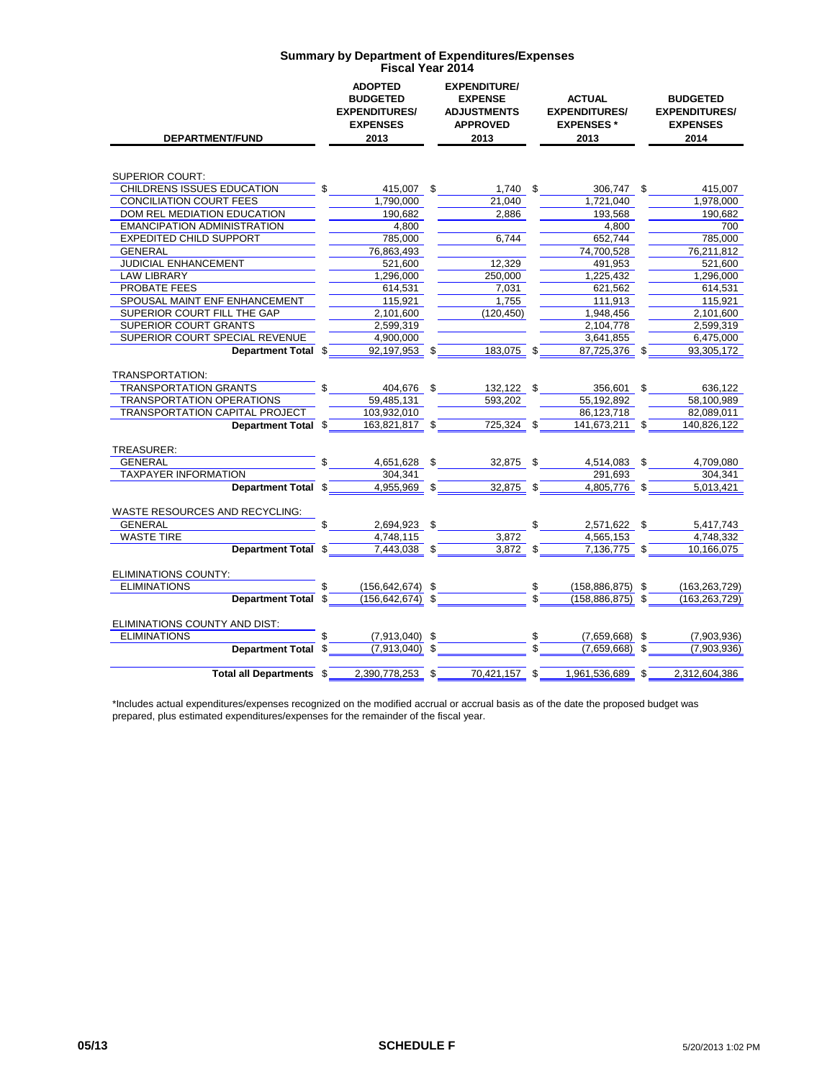| <b>DEPARTMENT/FUND</b>                | <b>ADOPTED</b><br><b>BUDGETED</b><br><b>EXPENDITURES/</b><br><b>EXPENSES</b><br>2013 |     | <b>EXPENDITURE/</b><br><b>EXPENSE</b><br><b>ADJUSTMENTS</b><br><b>APPROVED</b><br>2013 |    | <b>ACTUAL</b><br><b>EXPENDITURES/</b><br><b>EXPENSES*</b><br>2013 |  | <b>BUDGETED</b><br><b>EXPENDITURES/</b><br><b>EXPENSES</b><br>2014 |  |
|---------------------------------------|--------------------------------------------------------------------------------------|-----|----------------------------------------------------------------------------------------|----|-------------------------------------------------------------------|--|--------------------------------------------------------------------|--|
|                                       |                                                                                      |     |                                                                                        |    |                                                                   |  |                                                                    |  |
| <b>SUPERIOR COURT:</b>                |                                                                                      |     |                                                                                        |    |                                                                   |  |                                                                    |  |
| CHILDRENS ISSUES EDUCATION            | 415,007 \$                                                                           |     | $1,740$ \$                                                                             |    | 306,747 \$                                                        |  | 415,007                                                            |  |
| <b>CONCILIATION COURT FEES</b>        | 1,790,000                                                                            |     | 21.040                                                                                 |    | 1.721.040                                                         |  | 1,978,000                                                          |  |
| DOM REL MEDIATION EDUCATION           | 190.682                                                                              |     | 2,886                                                                                  |    | 193,568                                                           |  | 190,682                                                            |  |
| <b>EMANCIPATION ADMINISTRATION</b>    | 4.800                                                                                |     |                                                                                        |    | 4.800                                                             |  | 700                                                                |  |
| <b>EXPEDITED CHILD SUPPORT</b>        | 785,000                                                                              |     | 6.744                                                                                  |    | 652.744                                                           |  | 785.000                                                            |  |
| <b>GENERAL</b>                        | 76,863,493                                                                           |     |                                                                                        |    | 74,700,528                                                        |  | 76.211.812                                                         |  |
| <b>JUDICIAL ENHANCEMENT</b>           | 521,600                                                                              |     | 12,329                                                                                 |    | 491,953                                                           |  | 521,600                                                            |  |
| <b>LAW LIBRARY</b>                    | 1,296,000                                                                            |     | 250.000                                                                                |    | 1,225,432                                                         |  | 1.296.000                                                          |  |
| PROBATE FEES                          | 614.531                                                                              |     | 7,031                                                                                  |    | 621.562                                                           |  | 614.531                                                            |  |
| SPOUSAL MAINT ENF ENHANCEMENT         | 115,921                                                                              |     | 1,755                                                                                  |    | 111,913                                                           |  | 115,921                                                            |  |
| SUPERIOR COURT FILL THE GAP           | 2,101,600                                                                            |     | (120, 450)                                                                             |    | 1,948,456                                                         |  | 2,101,600                                                          |  |
| <b>SUPERIOR COURT GRANTS</b>          | 2,599,319                                                                            |     |                                                                                        |    | 2,104,778                                                         |  | 2,599,319                                                          |  |
| SUPERIOR COURT SPECIAL REVENUE        | 4,900,000                                                                            |     |                                                                                        |    | 3,641,855                                                         |  | 6,475,000                                                          |  |
| Department Total \$                   | 92,197,953                                                                           | -\$ | 183,075 \$                                                                             |    | 87,725,376 \$                                                     |  | 93,305,172                                                         |  |
|                                       |                                                                                      |     |                                                                                        |    |                                                                   |  |                                                                    |  |
| TRANSPORTATION:                       |                                                                                      |     |                                                                                        |    |                                                                   |  |                                                                    |  |
| <b>TRANSPORTATION GRANTS</b>          | \$<br>404,676 \$                                                                     |     | 132,122 \$                                                                             |    | 356,601 \$                                                        |  | 636,122                                                            |  |
| <b>TRANSPORTATION OPERATIONS</b>      | 59.485.131                                                                           |     | 593,202                                                                                |    | 55.192.892                                                        |  | 58,100,989                                                         |  |
| <b>TRANSPORTATION CAPITAL PROJECT</b> | 103.932.010                                                                          |     |                                                                                        |    | 86.123.718                                                        |  | 82,089,011                                                         |  |
| Department Total \$                   | 163,821,817 \$                                                                       |     | 725,324 \$                                                                             |    | 141,673,211 \$                                                    |  | 140,826,122                                                        |  |
|                                       |                                                                                      |     |                                                                                        |    |                                                                   |  |                                                                    |  |
| TREASURER:                            |                                                                                      |     |                                                                                        |    |                                                                   |  |                                                                    |  |
| <b>GENERAL</b>                        | 4,651,628 \$                                                                         |     | 32,875 \$                                                                              |    | 4,514,083 \$                                                      |  | 4,709,080                                                          |  |
| <b>TAXPAYER INFORMATION</b>           | 304.341                                                                              |     |                                                                                        |    | 291,693                                                           |  | 304,341                                                            |  |
| Department Total \$                   | 4,955,969 \$                                                                         |     | $\overline{32,875}$ \$                                                                 |    | 4,805,776 \$                                                      |  | 5,013,421                                                          |  |
| WASTE RESOURCES AND RECYCLING:        |                                                                                      |     |                                                                                        |    |                                                                   |  |                                                                    |  |
| <b>GENERAL</b>                        | 2,694,923                                                                            | \$  |                                                                                        | \$ | 2,571,622 \$                                                      |  | 5,417,743                                                          |  |
| <b>WASTE TIRE</b>                     | 4.748.115                                                                            |     | 3,872                                                                                  |    | 4,565,153                                                         |  | 4.748.332                                                          |  |
| Department Total \$                   | 7,443,038 \$                                                                         |     | $3,872$ \$                                                                             |    | 7,136,775 \$                                                      |  | 10,166,075                                                         |  |
|                                       |                                                                                      |     |                                                                                        |    |                                                                   |  |                                                                    |  |
| <b>ELIMINATIONS COUNTY:</b>           |                                                                                      |     |                                                                                        |    |                                                                   |  |                                                                    |  |
| <b>ELIMINATIONS</b>                   | $(156, 642, 674)$ \$                                                                 |     |                                                                                        | \$ | $(158, 886, 875)$ \$                                              |  | (163, 263, 729)                                                    |  |
| Department Total \$                   | $(156, 642, 674)$ \$                                                                 |     |                                                                                        |    | $(158.886.875)$ \$                                                |  | (163, 263, 729)                                                    |  |
|                                       |                                                                                      |     |                                                                                        |    |                                                                   |  |                                                                    |  |
| ELIMINATIONS COUNTY AND DIST:         |                                                                                      |     |                                                                                        |    |                                                                   |  |                                                                    |  |
| <b>ELIMINATIONS</b>                   | $(7,913,040)$ \$                                                                     |     |                                                                                        | \$ | $(7,659,668)$ \$                                                  |  | (7,903,936)                                                        |  |
| Department Total \$                   | $(7,913,040)$ \$                                                                     |     |                                                                                        |    | (7,659,668)                                                       |  | (7,903,936)                                                        |  |
|                                       |                                                                                      |     |                                                                                        |    |                                                                   |  |                                                                    |  |
| Total all Departments \$              | 2,390,778,253 \$                                                                     |     | 70,421,157 \$                                                                          |    | 1,961,536,689 \$                                                  |  | 2,312,604,386                                                      |  |

\*Includes actual expenditures/expenses recognized on the modified accrual or accrual basis as of the date the proposed budget was prepared, plus estimated expenditures/expenses for the remainder of the fiscal year.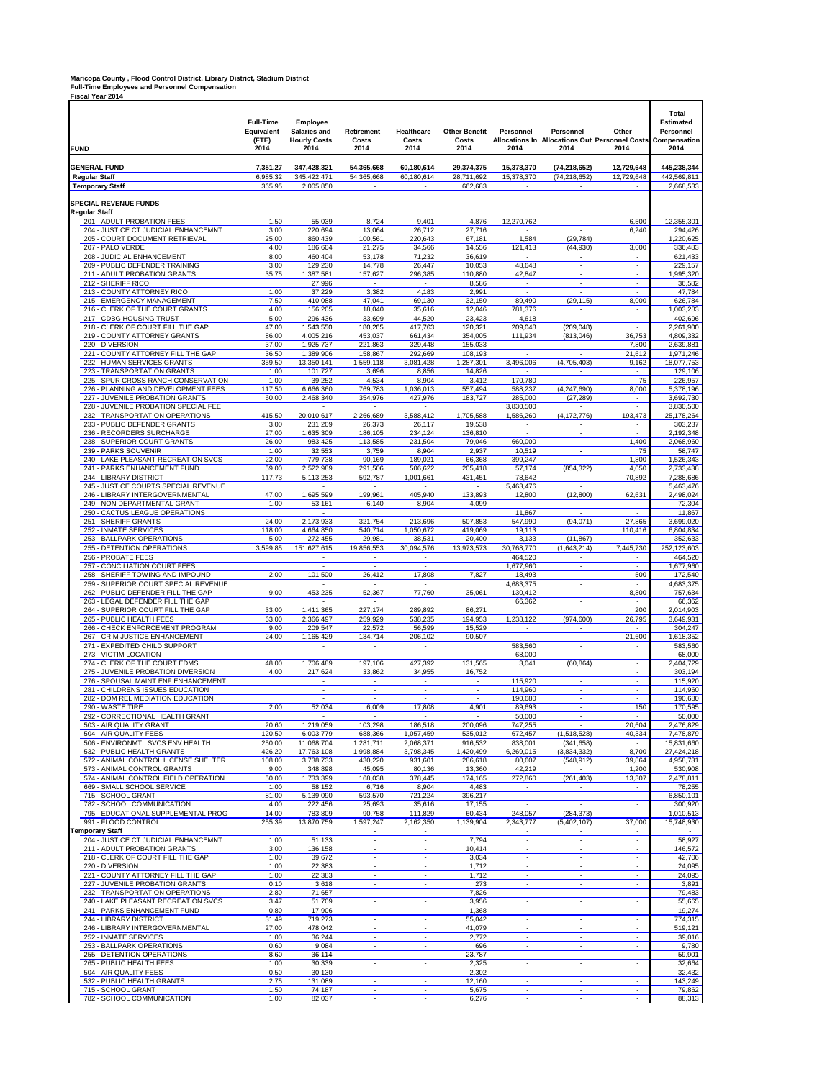# **Maricopa County , Flood Control District, Library District, Stadium District Full-Time Employees and Personnel Compensation Fiscal Year 2014**

| <b>FUND</b>                                                              | <b>Full-Time</b><br>Equivalent<br>(FTE)<br>2014 | Employee<br>Salaries and<br><b>Hourly Costs</b><br>2014 | Retirement<br>Costs<br>2014                          | Healthcare<br>Costs<br>2014                          | <b>Other Benefit</b><br>Costs<br>2014 | Personnel<br>2014                                    | Personnel<br><b>Allocations In Allocations Out Personnel Costs</b><br>2014 | Other<br>2014                                        | Total<br><b>Estimated</b><br>Personnel<br>Compensation<br>2014 |
|--------------------------------------------------------------------------|-------------------------------------------------|---------------------------------------------------------|------------------------------------------------------|------------------------------------------------------|---------------------------------------|------------------------------------------------------|----------------------------------------------------------------------------|------------------------------------------------------|----------------------------------------------------------------|
| <b>GENERAL FUND</b>                                                      | 7,351.27                                        | 347,428,321                                             | 54,365,668                                           | 60,180,614                                           | 29,374,375                            | 15,378,370                                           | (74, 218, 652)                                                             | 12,729,648                                           | 445,238,344                                                    |
| <b>Regular Staff</b><br><b>Temporary Staff</b>                           | 6,985.32<br>365.95                              | 345,422,471<br>2.005.850                                | 54,365,668                                           | 60,180,614                                           | 28,711,692<br>662,683                 | 15,378,370                                           | (74, 218, 652)                                                             | 12,729,648                                           | 442,569,811<br>2,668,533                                       |
|                                                                          |                                                 |                                                         |                                                      |                                                      |                                       |                                                      |                                                                            |                                                      |                                                                |
| <b>SPECIAL REVENUE FUNDS</b><br><b>Regular Staff</b>                     |                                                 |                                                         |                                                      |                                                      |                                       |                                                      |                                                                            |                                                      |                                                                |
| 201 - ADULT PROBATION FEES                                               | 1.50                                            | 55,039                                                  | 8,724                                                | 9,401                                                | 4,876                                 | 12,270,762                                           |                                                                            | 6,500                                                | 12,355,301                                                     |
| 204 - JUSTICE CT JUDICIAL ENHANCEMNT<br>205 - COURT DOCUMENT RETRIEVAL   | 3.00<br>25.00                                   | 220,694<br>860,439                                      | 13,064<br>100,561                                    | 26,712<br>220,643                                    | 27,716<br>67,181                      | $\sim$<br>1,584                                      | $\overline{\phantom{a}}$<br>(29, 784)                                      | 6,240                                                | 294,426<br>1,220,625                                           |
| 207 - PALO VERDE                                                         | 4.00                                            | 186,604                                                 | 21,275                                               | 34,566                                               | 14,556                                | 121,413                                              | (44, 930)                                                                  | 3,000                                                | 336,483                                                        |
| 208 - JUDICIAL ENHANCEMENT                                               | 8.00                                            | 460.404<br>129.230                                      | 53,178                                               | 71,232                                               | 36,619                                |                                                      |                                                                            |                                                      | 621.433                                                        |
| 209 - PUBLIC DEFENDER TRAINING<br>211 - ADULT PROBATION GRANTS           | 3.00<br>35.75                                   | 1,387,581                                               | 14,778<br>157,627                                    | 26,447<br>296,385                                    | 10,053<br>110,880                     | 48,648<br>42,847                                     | $\overline{\phantom{a}}$<br>$\overline{\phantom{a}}$                       | ٠<br>$\overline{\phantom{a}}$                        | 229,157<br>1,995,320                                           |
| 212 - SHERIFF RICO                                                       |                                                 | 27,996                                                  | $\overline{\phantom{a}}$                             | $\sim$                                               | 8,586                                 | $\sim$                                               | $\overline{\phantom{a}}$                                                   | $\overline{\phantom{a}}$                             | 36,582                                                         |
| 213 - COUNTY ATTORNEY RICO<br>215 - EMERGENCY MANAGEMENT                 | 1.00<br>7.50                                    | 37,229<br>410,088                                       | 3,382<br>47,041                                      | 4,183<br>69,130                                      | 2,991<br>32,150                       | $\overline{\phantom{a}}$<br>89,490                   | $\overline{\phantom{a}}$<br>(29, 115)                                      | $\overline{\phantom{a}}$<br>8,000                    | 47,784<br>626,784                                              |
| 216 - CLERK OF THE COURT GRANTS                                          | 4.00                                            | 156,205                                                 | 18,040                                               | 35,616                                               | 12,046                                | 781,376                                              |                                                                            |                                                      | 1,003,283                                                      |
| 217 - CDBG HOUSING TRUST                                                 | 5.00                                            | 296,436                                                 | 33,699                                               | 44,520                                               | 23,423                                | 4,618                                                |                                                                            | ٠<br>÷                                               | 402,696                                                        |
| 218 - CLERK OF COURT FILL THE GAP<br>219 - COUNTY ATTORNEY GRANTS        | 47.00<br>86.00                                  | 1,543,550<br>4,005,216                                  | 180,265<br>453,037                                   | 417,763<br>661,434                                   | 120,321<br>354,005                    | 209,048<br>111,934                                   | (209, 048)<br>(813,046)                                                    | 36,753                                               | 2,261,900<br>4,809,332                                         |
| 220 - DIVERSION                                                          | 37.00                                           | 1,925,737                                               | 221,863                                              | 329,448                                              | 155,033                               | $\overline{\phantom{a}}$                             |                                                                            | 7,800                                                | 2,639,881                                                      |
| 221 - COUNTY ATTORNEY FILL THE GAP<br>222 - HUMAN SERVICES GRANTS        | 36.50<br>359.50                                 | 1,389,906<br>13,350,141                                 | 158,867<br>1,559,118                                 | 292,669<br>3,081,428                                 | 108,193<br>1,287,301                  | $\overline{a}$<br>3,496,006                          | ÷,<br>(4,705,403)                                                          | 21,612<br>9,162                                      | 1,971,246<br>18,077,753                                        |
| 223 - TRANSPORTATION GRANTS                                              | 1.00                                            | 101,727                                                 | 3,696                                                | 8,856                                                | 14,826                                |                                                      |                                                                            | ÷                                                    | 129,106                                                        |
| 225 - SPUR CROSS RANCH CONSERVATION                                      | 1.00                                            | 39,252                                                  | 4,534                                                | 8,904                                                | 3,412                                 | 170,780                                              |                                                                            | 75                                                   | 226,957                                                        |
| 226 - PLANNING AND DEVELOPMENT FEES<br>227 - JUVENILE PROBATION GRANTS   | 117.50<br>60.00                                 | 6,666,360<br>2,468,340                                  | 769,783<br>354,976                                   | 1,036,013<br>427,976                                 | 557,494<br>183,727                    | 588,237<br>285,000                                   | (4, 247, 690)<br>(27, 289)                                                 | 8,000<br>$\overline{\phantom{a}}$                    | 5,378,196<br>3,692,730                                         |
| 228 - JUVENILE PROBATION SPECIAL FEE                                     |                                                 |                                                         |                                                      |                                                      |                                       | 3,830,500                                            |                                                                            | $\overline{a}$                                       | 3,830,500                                                      |
| 232 - TRANSPORTATION OPERATIONS<br>233 - PUBLIC DEFENDER GRANTS          | 415.50                                          | 20,010,617                                              | 2,266,689                                            | 3,588,412                                            | 1,705,588                             | 1,586,260                                            | (4, 172, 776)                                                              | 193,473                                              | 25,178,264                                                     |
| 236 - RECORDERS SURCHARGE                                                | 3.00<br>27.00                                   | 231,209<br>1,635,309                                    | 26,373<br>186,105                                    | 26,117<br>234,124                                    | 19,538<br>136,810                     |                                                      | $\overline{\phantom{a}}$                                                   |                                                      | 303,237<br>2,192,348                                           |
| 238 - SUPERIOR COURT GRANTS                                              | 26.00                                           | 983,425                                                 | 113,585                                              | 231,504                                              | 79,046                                | 660,000                                              | $\overline{\phantom{a}}$                                                   | 1,400                                                | 2,068,960                                                      |
| 239 - PARKS SOUVENIR<br>240 - LAKE PLEASANT RECREATION SVCS              | 1.00<br>22.00                                   | 32,553<br>779,738                                       | 3,759<br>90,169                                      | 8,904<br>189,021                                     | 2,937<br>66,368                       | 10,519<br>399,247                                    | $\sim$<br>L,                                                               | 75<br>1,800                                          | 58,747<br>1,526,343                                            |
| 241 - PARKS ENHANCEMENT FUND                                             | 59.00                                           | 2,522,989                                               | 291,506                                              | 506,622                                              | 205,418                               | 57,174                                               | (854, 322)                                                                 | 4,050                                                | 2,733,438                                                      |
| 244 - LIBRARY DISTRICT<br>245 - JUSTICE COURTS SPECIAL REVENUE           | 117.73                                          | 5,113,253                                               | 592,787                                              | 1,001,661                                            | 431,451                               | 78,642<br>5,463,476                                  |                                                                            | 70,892                                               | 7,288,686<br>5,463,476                                         |
| 246 - LIBRARY INTERGOVERNMENTAL                                          | 47.00                                           | 1,695,599                                               | 199,961                                              | 405,940                                              | 133,893                               | 12,800                                               | (12,800)                                                                   | 62,631                                               | 2,498,024                                                      |
| 249 - NON DEPARTMENTAL GRANT                                             | 1.00                                            | 53,161                                                  | 6,140                                                | 8,904                                                | 4,099                                 | $\sim$                                               | $\overline{\phantom{a}}$                                                   | $\sim$                                               | 72,304                                                         |
| 250 - CACTUS LEAGUE OPERATIONS<br>251 - SHERIFF GRANTS                   | 24.00                                           | 2,173,933                                               | 321,754                                              | 213,696                                              | 507,853                               | 11,867<br>547,990                                    | (94,071)                                                                   | $\overline{\phantom{a}}$<br>27,865                   | 11,867<br>3,699,020                                            |
| 252 - INMATE SERVICES                                                    | 118.00                                          | 4,664,850                                               | 540,714                                              | 1,050,672                                            | 419,069                               | 19,113                                               |                                                                            | 110,416                                              | 6,804,834                                                      |
| 253 - BALLPARK OPERATIONS                                                | 5.00                                            | 272,455                                                 | 29,981                                               | 38,531                                               | 20,400                                | 3,133                                                | (11, 867)                                                                  |                                                      | 352,633                                                        |
| 255 - DETENTION OPERATIONS<br>256 - PROBATE FEES                         | 3,599.85                                        | 151,627,615<br>$\overline{\phantom{a}}$                 | 19,856,553<br>$\overline{\phantom{a}}$               | 30,094,576<br>$\overline{\phantom{a}}$               | 13,973,573                            | 30,768,770<br>464,520                                | (1,643,214)<br>$\overline{\phantom{a}}$                                    | 7,445,730<br>$\overline{\phantom{a}}$                | 252,123,603<br>464,520                                         |
| 257 - CONCILIATION COURT FEES                                            |                                                 | ÷                                                       | ÷,                                                   | ÷,                                                   |                                       | 1,677,960                                            | $\overline{\phantom{a}}$                                                   | $\overline{\phantom{a}}$                             | 1,677,960                                                      |
| 258 - SHERIFF TOWING AND IMPOUND<br>259 - SUPERIOR COURT SPECIAL REVENUE | 2.00                                            | 101,500                                                 | 26,412                                               | 17,808                                               | 7,827                                 | 18,493<br>4,683,375                                  | $\sim$                                                                     | 500<br>÷                                             | 172,540<br>4,683,375                                           |
| 262 - PUBLIC DEFENDER FILL THE GAP                                       | 9.00                                            | 453,235                                                 | 52,367                                               | 77,760                                               | 35,061                                | 130,412                                              | $\overline{\phantom{a}}$                                                   | 8,800                                                | 757,634                                                        |
| 263 - LEGAL DEFENDER FILL THE GAP                                        |                                                 | $\overline{\phantom{a}}$                                | $\sim$                                               |                                                      |                                       | 66,362                                               | $\overline{\phantom{a}}$                                                   | ٠                                                    | 66,362                                                         |
| 264 - SUPERIOR COURT FILL THE GAP<br>265 - PUBLIC HEALTH FEES            | 33.00<br>63.00                                  | 1,411,365<br>2,366,497                                  | 227,174<br>259,929                                   | 289,892<br>538,235                                   | 86,271<br>194,953                     | 1,238,122                                            | (974, 600)                                                                 | 200<br>26,795                                        | 2,014,903<br>3,649,931                                         |
| 266 - CHECK ENFORCEMENT PROGRAM                                          | 9.00                                            | 209,547                                                 | 22,572                                               | 56,599                                               | 15,529                                |                                                      |                                                                            |                                                      | 304,247                                                        |
| 267 - CRIM JUSTICE ENHANCEMENT<br>271 - EXPEDITED CHILD SUPPORT          | 24.00                                           | 1,165,429                                               | 134,714                                              | 206.102                                              | 90,507                                | $\overline{a}$<br>583,560                            | $\overline{a}$                                                             | 21,600                                               | 1,618,352<br>583,560                                           |
| 273 - VICTIM LOCATION                                                    |                                                 | $\overline{\phantom{a}}$                                | $\overline{\phantom{a}}$                             | $\overline{\phantom{a}}$                             |                                       | 68,000                                               |                                                                            | $\overline{\phantom{a}}$                             | 68,000                                                         |
| 274 - CLERK OF THE COURT EDMS<br>275 - JUVENILE PROBATION DIVERSION      | 48.00<br>4.00                                   | 1,706,489<br>217,624                                    | 197,106<br>33,862                                    | 427,392<br>34,955                                    | 131,565<br>16,752                     | 3,041                                                | (60, 864)                                                                  | $\overline{\phantom{a}}$<br>$\overline{\phantom{a}}$ | 2,404,729                                                      |
| 276 - SPOUSAL MAINT ENF ENHANCEMENT                                      |                                                 |                                                         |                                                      |                                                      |                                       | 115,920                                              | $\overline{a}$                                                             | ÷.                                                   | 303,194<br>115,920                                             |
| 281 - CHILDRENS ISSUES EDUCATION                                         |                                                 | $\overline{a}$                                          | $\overline{\phantom{a}}$                             | $\overline{a}$                                       | $\overline{a}$                        | 114,960                                              | $\overline{a}$                                                             | $\overline{a}$                                       | 114,960                                                        |
| 282 - DOM REL MEDIATION EDUCATION<br>290 - WASTE TIRE                    | 2.00                                            | 52,034                                                  | 6,009                                                | 17,808                                               | 4,901                                 | 190,680<br>89,693                                    |                                                                            | 150                                                  | 190,680<br>170,595                                             |
| 292 - CORRECTIONAL HEALTH GRANT                                          |                                                 | $\overline{\phantom{a}}$                                | $\sim$                                               | $\overline{\phantom{a}}$                             | $\sim$                                | 50,000                                               | $\sim$                                                                     | $\sim$                                               | 50,000                                                         |
| 503 - AIR QUALITY GRANT<br>504 - AIR QUALITY FEES                        | 20.60<br>120.50                                 | 1,219,059<br>6,003,779                                  | 103,298<br>688,366                                   | 186,518<br>1,057,459                                 | 200,096<br>535,012                    | 747,255<br>672,457                                   | (1,518,528)                                                                | 20,604<br>40,334                                     | 2,476,829<br>7,478,879                                         |
| 506 - ENVIRONMTL SVCS ENV HEALTH                                         | 250.00                                          | 11,068,704                                              | 1,281,711                                            | 2,068,371                                            | 916.532                               | 838,001                                              | (341, 658)                                                                 |                                                      | 15,831,660                                                     |
| 532 - PUBLIC HEALTH GRANTS                                               | 426.20                                          | 17,763,108                                              | 1,998,884                                            | 3.798.345                                            | 1,420,499                             | 6,269,015                                            | (3,834,332)                                                                | 8,700                                                | 27.424.218                                                     |
| 572 - ANIMAL CONTROL LICENSE SHELTER<br>573 - ANIMAL CONTROL GRANTS      | 108.00<br>9.00                                  | 3,738,733<br>348,898                                    | 430,220<br>45,095                                    | 931,601<br>80,136                                    | 286,618<br>13,360                     | 80,607<br>42,219                                     | (548, 912)<br>$\sim$                                                       | 39,864<br>1,200                                      | 4,958,731<br>530,908                                           |
| 574 - ANIMAL CONTROL FIELD OPERATION                                     | 50.00                                           | 1,733,399                                               | 168,038                                              | 378.445                                              | 174,165                               | 272.860                                              | (261.403)                                                                  | 13,307                                               | 2,478,811                                                      |
| 669 - SMALL SCHOOL SERVICE<br>715 - SCHOOL GRANT                         | 1.00<br>81.00                                   | 58,152<br>5,139,090                                     | 6,716<br>593,570                                     | 8,904<br>721,224                                     | 4,483<br>396,217                      | $\overline{a}$<br>$\overline{\phantom{a}}$           | ÷,<br>$\sim$                                                               | $\sim$<br>Ξ                                          | 78,255<br>6,850,101                                            |
| 782 - SCHOOL COMMUNICATION                                               | 4.00                                            | 222,456                                                 | 25,693                                               | 35,616                                               | 17,155                                | $\overline{a}$                                       |                                                                            | ÷                                                    | 300,920                                                        |
| 795 - EDUCATIONAL SUPPLEMENTAL PROG                                      | 14.00                                           | 783,809                                                 | 90,758                                               | 111,829                                              | 60,434                                | 248,057                                              | (284, 373)                                                                 | τ                                                    | 1,010,513                                                      |
| 991 - FLOOD CONTROL<br><b>Temporary Staff</b>                            | 255.39                                          | 13,870,759                                              | 1,597,247<br>$\overline{\phantom{a}}$                | 2,162,350<br>$\sim$                                  | 1,139,904                             | 2,343,777<br>$\overline{\phantom{a}}$                | (5,402,107)<br>$\overline{\phantom{a}}$                                    | 37,000<br>$\overline{\phantom{a}}$                   | 15,748,930                                                     |
| 204 - JUSTICE CT JUDICIAL ENHANCEMNT                                     | 1.00                                            | 51,133                                                  | $\overline{\phantom{a}}$                             | ÷                                                    | 7,794                                 | $\overline{\phantom{a}}$                             | $\overline{\phantom{a}}$                                                   | $\overline{\phantom{a}}$                             | 58,927                                                         |
| 211 - ADULT PROBATION GRANTS<br>218 - CLERK OF COURT FILL THE GAP        | 3.00<br>1.00                                    | 136,158<br>39,672                                       | ÷,<br>$\overline{a}$                                 | $\overline{\phantom{a}}$<br>$\overline{a}$           | 10,414<br>3,034                       | $\overline{\phantom{a}}$<br>$\mathcal{L}$            | $\sim$<br>$\overline{a}$                                                   | $\overline{\phantom{a}}$<br>$\overline{\phantom{a}}$ | 146,572<br>42,706                                              |
| 220 - DIVERSION                                                          | 1.00                                            | 22,383                                                  | $\overline{\phantom{a}}$                             | $\overline{\phantom{a}}$                             | 1,712                                 | $\overline{\phantom{a}}$                             | $\overline{\phantom{a}}$                                                   | $\overline{a}$                                       | 24,095                                                         |
| 221 - COUNTY ATTORNEY FILL THE GAP                                       | 1.00                                            | 22,383                                                  | $\overline{\phantom{a}}$                             | $\overline{\phantom{a}}$                             | 1,712                                 | $\overline{\phantom{a}}$                             | $\overline{\phantom{a}}$                                                   | $\overline{\phantom{a}}$                             | 24,095                                                         |
| 227 - JUVENILE PROBATION GRANTS<br>232 - TRANSPORTATION OPERATIONS       | 0.10<br>2.80                                    | 3,618<br>71,657                                         | $\sim$<br>$\overline{\phantom{a}}$                   | $\overline{\phantom{a}}$<br>$\overline{\phantom{a}}$ | 273<br>7,826                          | $\sim$<br>$\overline{\phantom{a}}$                   | $\overline{\phantom{a}}$<br>$\overline{\phantom{a}}$                       | $\overline{\phantom{a}}$<br>$\overline{\phantom{a}}$ | 3,891<br>79,483                                                |
| 240 - LAKE PLEASANT RECREATION SVCS                                      | 3.47                                            | 51,709                                                  | ÷,                                                   | ÷,                                                   | 3,956                                 | $\mathcal{L}_{\mathcal{A}}$                          | ÷,                                                                         | $\mathcal{L}$                                        | 55,665                                                         |
| 241 - PARKS ENHANCEMENT FUND<br>244 - LIBRARY DISTRICT                   | 0.80<br>31.49                                   | 17,906<br>719,273                                       | $\overline{\phantom{a}}$<br>$\overline{\phantom{a}}$ | $\overline{a}$<br>$\overline{\phantom{a}}$           | 1,368<br>55,042                       | $\overline{a}$<br>$\overline{\phantom{a}}$           | $\overline{a}$<br>$\overline{\phantom{a}}$                                 | ÷<br>$\overline{\phantom{a}}$                        | 19,274<br>774,315                                              |
| 246 - LIBRARY INTERGOVERNMENTAL                                          | 27.00                                           | 478,042                                                 | $\overline{\phantom{a}}$                             | $\overline{\phantom{a}}$                             | 41,079                                | $\mathcal{L}$                                        | $\overline{\phantom{a}}$                                                   | $\overline{\phantom{a}}$                             | 519,121                                                        |
| 252 - INMATE SERVICES                                                    | 1.00                                            | 36,244                                                  | $\sim$                                               | $\sim$                                               | 2,772                                 | $\sim$                                               | $\sim$                                                                     | $\sim$                                               | 39,016                                                         |
| 253 - BALLPARK OPERATIONS<br>255 - DETENTION OPERATIONS                  | 0.60<br>8.60                                    | 9,084<br>36,114                                         | $\overline{\phantom{a}}$<br>τ                        | $\overline{\phantom{a}}$<br>τ                        | 696<br>23,787                         | $\overline{\phantom{a}}$<br>Ξ                        | $\overline{\phantom{a}}$<br>$\overline{\phantom{a}}$                       | $\overline{\phantom{a}}$<br>Ξ                        | 9,780<br>59,901                                                |
| 265 - PUBLIC HEALTH FEES                                                 | 1.00                                            | 30,339                                                  | $\overline{\phantom{a}}$                             | $\overline{\phantom{a}}$                             | 2,325                                 | $\overline{\phantom{a}}$                             | ÷,                                                                         | ÷                                                    | 32,664                                                         |
| 504 - AIR QUALITY FEES<br>532 - PUBLIC HEALTH GRANTS                     | 0.50<br>2.75                                    | 30,130<br>131,089                                       | $\overline{\phantom{a}}$<br>$\overline{\phantom{a}}$ | $\overline{\phantom{a}}$<br>$\overline{a}$           | 2,302<br>12,160                       | $\overline{\phantom{a}}$<br>$\overline{\phantom{a}}$ | $\overline{\phantom{a}}$<br>$\overline{\phantom{a}}$                       | ٠<br>$\overline{\phantom{a}}$                        | 32,432<br>143,249                                              |
| 715 - SCHOOL GRANT                                                       | 1.50                                            | 74,187                                                  | $\overline{\phantom{a}}$                             | $\blacksquare$                                       | 5,675                                 | $\overline{\phantom{a}}$                             | $\overline{\phantom{a}}$                                                   | $\blacksquare$                                       | 79,862                                                         |
| 782 - SCHOOL COMMUNICATION                                               | 1.00                                            | 82,037                                                  | $\overline{\phantom{a}}$                             | $\overline{\phantom{a}}$                             | 6,276                                 | $\overline{\phantom{a}}$                             | $\overline{\phantom{a}}$                                                   | $\sim$                                               | 88,313                                                         |